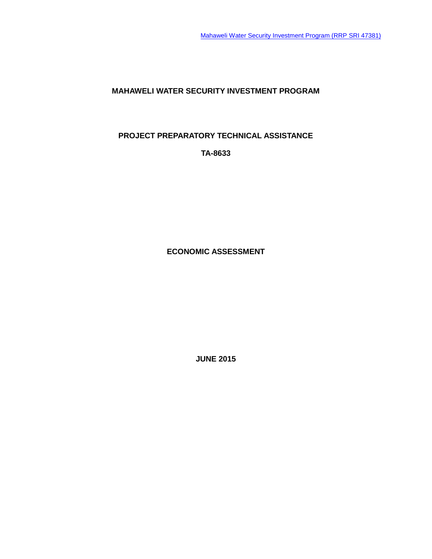**MAHAWELI WATER SECURITY INVESTMENT PROGRAM**

**PROJECT PREPARATORY TECHNICAL ASSISTANCE**

**TA-8633**

**ECONOMIC ASSESSMENT**

**JUNE 2015**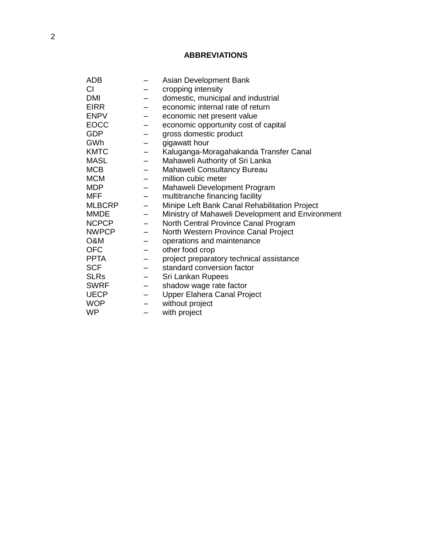# **ABBREVIATIONS**

| ADB           |                          | Asian Development Bank                           |
|---------------|--------------------------|--------------------------------------------------|
| СI            |                          | cropping intensity                               |
| <b>DMI</b>    |                          | domestic, municipal and industrial               |
| <b>EIRR</b>   |                          | economic internal rate of return                 |
| <b>ENPV</b>   | -                        | economic net present value                       |
| <b>EOCC</b>   |                          | economic opportunity cost of capital             |
| <b>GDP</b>    |                          | gross domestic product                           |
| GWh           | $\qquad \qquad -$        | gigawatt hour                                    |
| <b>KMTC</b>   | -                        | Kaluganga-Moragahakanda Transfer Canal           |
| <b>MASL</b>   | $\overline{\phantom{0}}$ | Mahaweli Authority of Sri Lanka                  |
| <b>MCB</b>    |                          | Mahaweli Consultancy Bureau                      |
| <b>MCM</b>    |                          | million cubic meter                              |
| <b>MDP</b>    | $\overline{\phantom{m}}$ | Mahaweli Development Program                     |
| MFF           | $\qquad \qquad -$        | multitranche financing facility                  |
| <b>MLBCRP</b> | $\qquad \qquad -$        | Minipe Left Bank Canal Rehabilitation Project    |
| <b>MMDE</b>   |                          | Ministry of Mahaweli Development and Environment |
| <b>NCPCP</b>  | $\qquad \qquad -$        | North Central Province Canal Program             |
| <b>NWPCP</b>  | -                        | North Western Province Canal Project             |
| O&M           |                          | operations and maintenance                       |
| <b>OFC</b>    |                          | other food crop                                  |
| <b>PPTA</b>   |                          | project preparatory technical assistance         |
| <b>SCF</b>    |                          | standard conversion factor                       |
| <b>SLRs</b>   | -                        | Sri Lankan Rupees                                |
| <b>SWRF</b>   |                          | shadow wage rate factor                          |
| <b>UECP</b>   |                          | <b>Upper Elahera Canal Project</b>               |
| <b>WOP</b>    |                          | without project                                  |
| <b>WP</b>     | -                        | with project                                     |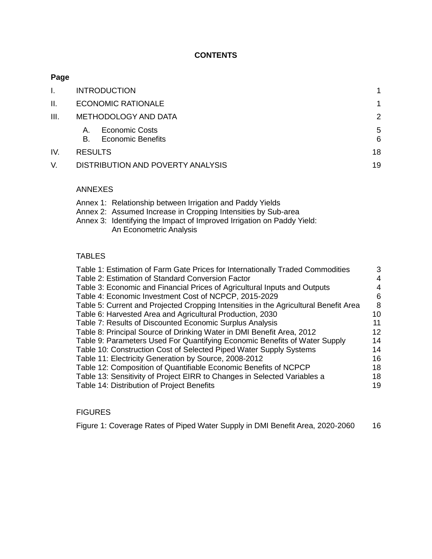# **CONTENTS**

# **Page**

|      | <b>INTRODUCTION</b>                                           |        |
|------|---------------------------------------------------------------|--------|
| II.  | <b>ECONOMIC RATIONALE</b>                                     |        |
| III. | METHODOLOGY AND DATA                                          | 2      |
|      | <b>Economic Costs</b><br>A.<br><b>Economic Benefits</b><br>В. | 5<br>6 |
| IV.  | <b>RESULTS</b>                                                | 18     |
|      | DISTRIBUTION AND POVERTY ANALYSIS                             | 19     |

# ANNEXES

| Annex 1: Relationship between Irrigation and Paddy Yields              |
|------------------------------------------------------------------------|
| Annex 2: Assumed Increase in Cropping Intensities by Sub-area          |
| Annex 3: Identifying the Impact of Improved Irrigation on Paddy Yield: |
| An Econometric Analysis                                                |

# TABLES

| Table 1: Estimation of Farm Gate Prices for Internationally Traded Commodities       | 3  |
|--------------------------------------------------------------------------------------|----|
| Table 2: Estimation of Standard Conversion Factor                                    | 4  |
| Table 3: Economic and Financial Prices of Agricultural Inputs and Outputs            | 4  |
| Table 4: Economic Investment Cost of NCPCP, 2015-2029                                | 6  |
| Table 5: Current and Projected Cropping Intensities in the Agricultural Benefit Area | -8 |
| Table 6: Harvested Area and Agricultural Production, 2030                            | 10 |
| Table 7: Results of Discounted Economic Surplus Analysis                             | 11 |
| Table 8: Principal Source of Drinking Water in DMI Benefit Area, 2012                | 12 |
| Table 9: Parameters Used For Quantifying Economic Benefits of Water Supply           | 14 |
| Table 10: Construction Cost of Selected Piped Water Supply Systems                   | 14 |
| Table 11: Electricity Generation by Source, 2008-2012                                | 16 |
| Table 12: Composition of Quantifiable Economic Benefits of NCPCP                     | 18 |
| Table 13: Sensitivity of Project EIRR to Changes in Selected Variables a             | 18 |
| Table 14: Distribution of Project Benefits                                           | 19 |
|                                                                                      |    |

# FIGURES

[Figure 1: Coverage Rates of Piped Water Supply in DMI Benefit Area, 2020-2060](#page-19-1) 16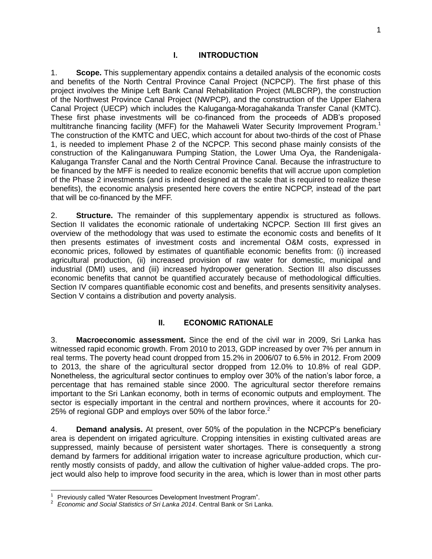### **I. INTRODUCTION**

<span id="page-4-0"></span>1. **Scope.** This supplementary appendix contains a detailed analysis of the economic costs and benefits of the North Central Province Canal Project (NCPCP). The first phase of this project involves the Minipe Left Bank Canal Rehabilitation Project (MLBCRP), the construction of the Northwest Province Canal Project (NWPCP), and the construction of the Upper Elahera Canal Project (UECP) which includes the Kaluganga-Moragahakanda Transfer Canal (KMTC). These first phase investments will be co-financed from the proceeds of ADB's proposed multitranche financing facility (MFF) for the Mahaweli Water Security Improvement Program.<sup>1</sup> The construction of the KMTC and UEC, which account for about two-thirds of the cost of Phase 1, is needed to implement Phase 2 of the NCPCP. This second phase mainly consists of the construction of the Kalinganuwara Pumping Station, the Lower Uma Oya, the Randenigala-Kaluganga Transfer Canal and the North Central Province Canal. Because the infrastructure to be financed by the MFF is needed to realize economic benefits that will accrue upon completion of the Phase 2 investments (and is indeed designed at the scale that is required to realize these benefits), the economic analysis presented here covers the entire NCPCP, instead of the part that will be co-financed by the MFF.

2. **Structure.** The remainder of this supplementary appendix is structured as follows. Section II validates the economic rationale of undertaking NCPCP. Section III first gives an overview of the methodology that was used to estimate the economic costs and benefits of It then presents estimates of investment costs and incremental O&M costs, expressed in economic prices, followed by estimates of quantifiable economic benefits from: (i) increased agricultural production, (ii) increased provision of raw water for domestic, municipal and industrial (DMI) uses, and (iii) increased hydropower generation. Section III also discusses economic benefits that cannot be quantified accurately because of methodological difficulties. Section IV compares quantifiable economic cost and benefits, and presents sensitivity analyses. Section V contains a distribution and poverty analysis.

# **II. ECONOMIC RATIONALE**

<span id="page-4-1"></span>3. **Macroeconomic assessment.** Since the end of the civil war in 2009, Sri Lanka has witnessed rapid economic growth. From 2010 to 2013, GDP increased by over 7% per annum in real terms. The poverty head count dropped from 15.2% in 2006/07 to 6.5% in 2012. From 2009 to 2013, the share of the agricultural sector dropped from 12.0% to 10.8% of real GDP. Nonetheless, the agricultural sector continues to employ over 30% of the nation's labor force, a percentage that has remained stable since 2000. The agricultural sector therefore remains important to the Sri Lankan economy, both in terms of economic outputs and employment. The sector is especially important in the central and northern provinces, where it accounts for 20- 25% of regional GDP and employs over 50% of the labor force.<sup>2</sup>

4. **Demand analysis.** At present, over 50% of the population in the NCPCP's beneficiary area is dependent on irrigated agriculture. Cropping intensities in existing cultivated areas are suppressed, mainly because of persistent water shortages. There is consequently a strong demand by farmers for additional irrigation water to increase agriculture production, which currently mostly consists of paddy, and allow the cultivation of higher value-added crops. The project would also help to improve food security in the area, which is lower than in most other parts

 $\overline{a}$ 

<sup>&</sup>lt;sup>1</sup> Previously called "Water Resources Development Investment Program".

<sup>2</sup> *Economic and Social Statistics of Sri Lanka 2014*. Central Bank or Sri Lanka.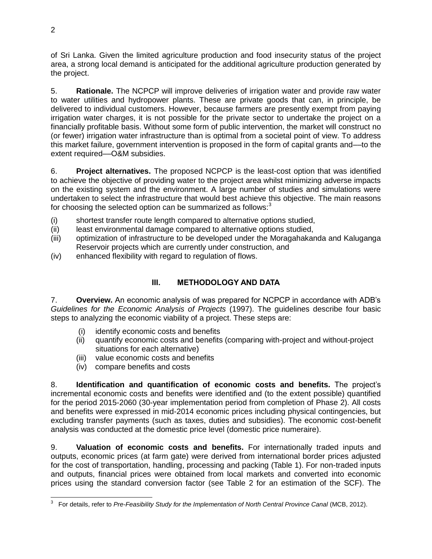of Sri Lanka. Given the limited agriculture production and food insecurity status of the project area, a strong local demand is anticipated for the additional agriculture production generated by the project.

5. **Rationale.** The NCPCP will improve deliveries of irrigation water and provide raw water to water utilities and hydropower plants. These are private goods that can, in principle, be delivered to individual customers. However, because farmers are presently exempt from paying irrigation water charges, it is not possible for the private sector to undertake the project on a financially profitable basis. Without some form of public intervention, the market will construct no (or fewer) irrigation water infrastructure than is optimal from a societal point of view. To address this market failure, government intervention is proposed in the form of capital grants and––to the extent required––O&M subsidies.

6. **Project alternatives.** The proposed NCPCP is the least-cost option that was identified to achieve the objective of providing water to the project area whilst minimizing adverse impacts on the existing system and the environment. A large number of studies and simulations were undertaken to select the infrastructure that would best achieve this objective. The main reasons for choosing the selected option can be summarized as follows: $3$ 

- (i) shortest transfer route length compared to alternative options studied,
- (ii) least environmental damage compared to alternative options studied,
- (iii) optimization of infrastructure to be developed under the Moragahakanda and Kaluganga Reservoir projects which are currently under construction, and
- (iv) enhanced flexibility with regard to regulation of flows.

# **III. METHODOLOGY AND DATA**

<span id="page-5-0"></span>7. **Overview.** An economic analysis of was prepared for NCPCP in accordance with ADB's *Guidelines for the Economic Analysis of Projects* (1997). The guidelines describe four basic steps to analyzing the economic viability of a project. These steps are:

- (i) identify economic costs and benefits
- (ii) quantify economic costs and benefits (comparing with-project and without-project situations for each alternative)
- (iii) value economic costs and benefits
- (iv) compare benefits and costs

8. **Identification and quantification of economic costs and benefits.** The project's incremental economic costs and benefits were identified and (to the extent possible) quantified for the period 2015-2060 (30-year implementation period from completion of Phase 2). All costs and benefits were expressed in mid-2014 economic prices including physical contingencies, but excluding transfer payments (such as taxes, duties and subsidies). The economic cost-benefit analysis was conducted at the domestic price level (domestic price numeraire).

9. **Valuation of economic costs and benefits.** For internationally traded inputs and outputs, economic prices (at farm gate) were derived from international border prices adjusted for the cost of transportation, handling, processing and packing (Table 1). For non-traded inputs and outputs, financial prices were obtained from local markets and converted into economic prices using the standard conversion factor (see Table 2 for an estimation of the SCF). The

 3 For details, refer to *Pre-Feasibility Study for the Implementation of North Central Province Canal* (MCB, 2012).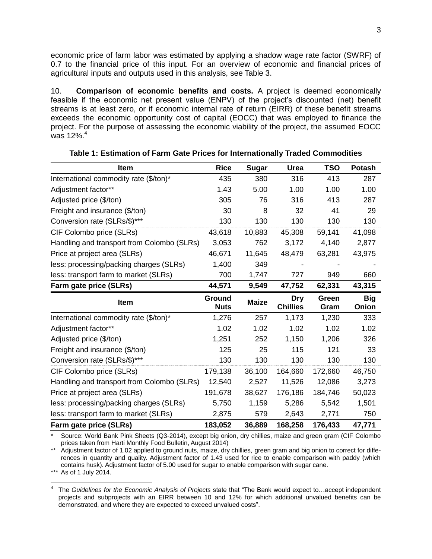economic price of farm labor was estimated by applying a shadow wage rate factor (SWRF) of 0.7 to the financial price of this input. For an overview of economic and financial prices of agricultural inputs and outputs used in this analysis, see Table 3.

10. **Comparison of economic benefits and costs.** A project is deemed economically feasible if the economic net present value (ENPV) of the project's discounted (net) benefit streams is at least zero, or if economic internal rate of return (EIRR) of these benefit streams exceeds the economic opportunity cost of capital (EOCC) that was employed to finance the project. For the purpose of assessing the economic viability of the project, the assumed EOCC was 12%. 4

<span id="page-6-0"></span>

| <b>Item</b>                                | <b>Rice</b>           | <b>Sugar</b> | Urea                   | <b>TSO</b>    | <b>Potash</b>       |
|--------------------------------------------|-----------------------|--------------|------------------------|---------------|---------------------|
| International commodity rate (\$/ton)*     | 435                   | 380          | 316                    | 413           | 287                 |
| Adjustment factor**                        | 1.43                  | 5.00         | 1.00                   | 1.00          | 1.00                |
| Adjusted price (\$/ton)                    | 305                   | 76           | 316                    | 413           | 287                 |
| Freight and insurance (\$/ton)             | 30                    | 8            | 32                     | 41            | 29                  |
| Conversion rate (SLRs/\$)***               | 130                   | 130          | 130                    | 130           | 130                 |
| CIF Colombo price (SLRs)                   | 43,618                | 10,883       | 45,308                 | 59,141        | 41,098              |
| Handling and transport from Colombo (SLRs) | 3,053                 | 762          | 3,172                  | 4,140         | 2,877               |
| Price at project area (SLRs)               | 46,671                | 11,645       | 48,479                 | 63,281        | 43,975              |
| less: processing/packing charges (SLRs)    | 1,400                 | 349          |                        |               |                     |
| less: transport farm to market (SLRs)      | 700                   | 1,747        | 727                    | 949           | 660                 |
| Farm gate price (SLRs)                     | 44,571                | 9,549        | 47,752                 | 62,331        | 43,315              |
|                                            |                       |              |                        |               |                     |
| <b>Item</b>                                | Ground<br><b>Nuts</b> | <b>Maize</b> | Dry<br><b>Chillies</b> | Green<br>Gram | <b>Big</b><br>Onion |
| International commodity rate (\$/ton)*     | 1,276                 | 257          | 1,173                  | 1,230         | 333                 |
| Adjustment factor**                        | 1.02                  | 1.02         | 1.02                   | 1.02          | 1.02                |
| Adjusted price (\$/ton)                    | 1,251                 | 252          | 1,150                  | 1,206         | 326                 |
| Freight and insurance (\$/ton)             | 125                   | 25           | 115                    | 121           | 33                  |
| Conversion rate (SLRs/\$)***               | 130                   | 130          | 130                    | 130           | 130                 |
| CIF Colombo price (SLRs)                   | 179,138               | 36,100       | 164,660                | 172,660       | 46,750              |
| Handling and transport from Colombo (SLRs) | 12,540                | 2,527        | 11,526                 | 12,086        | 3,273               |
| Price at project area (SLRs)               | 191,678               | 38,627       | 176,186                | 184,746       | 50,023              |
| less: processing/packing charges (SLRs)    | 5,750                 | 1,159        | 5,286                  | 5,542         | 1,501               |
| less: transport farm to market (SLRs)      | 2,875                 | 579          | 2,643                  | 2,771         | 750                 |

### **Table 1: Estimation of Farm Gate Prices for Internationally Traded Commodities**

Source: World Bank Pink Sheets (Q3-2014), except big onion, dry chillies, maize and green gram (CIF Colombo prices taken from Harti Monthly Food Bulletin, August 2014)

\*\* Adjustment factor of 1.02 applied to ground nuts, maize, dry chillies, green gram and big onion to correct for differences in quantity and quality. Adjustment factor of 1.43 used for rice to enable comparison with paddy (which contains husk). Adjustment factor of 5.00 used for sugar to enable comparison with sugar cane.

\*\*\* As of 1 July 2014.

j

<sup>4</sup> The *Guidelines for the Economic Analysis of Projects* state that "The Bank would expect to…accept independent projects and subprojects with an EIRR between 10 and 12% for which additional unvalued benefits can be demonstrated, and where they are expected to exceed unvalued costs".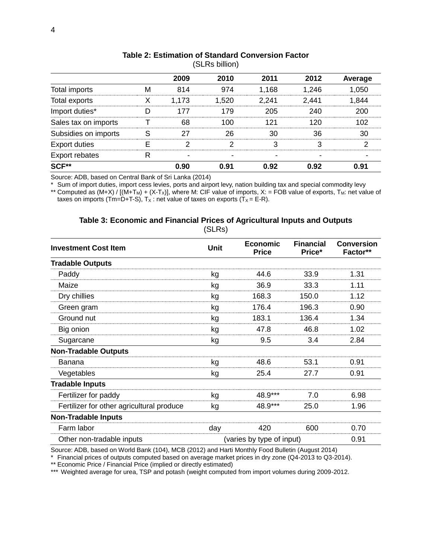<span id="page-7-0"></span>

| ווטוווט בחבט,        |   |       |       |       |       |         |
|----------------------|---|-------|-------|-------|-------|---------|
|                      |   | 2009  | 2010  | 2011  | 2012  | Average |
| Total imports        | М | 814   | 974   | 1,168 | 1,246 | 1,050   |
| Total exports        | X | 1,173 | 1,520 | 2,241 | 2,441 | 1,844   |
| Import duties*       | D | 177   | 179   | 205   | 240   | 200     |
| Sales tax on imports |   | 68    | 100   | 121   | 120   | 102     |
| Subsidies on imports | S | 27    | 26    | 30    | 36    | 30      |
| <b>Export duties</b> | E | ာ     | っ     | 3     | 3     | 2       |
| Export rebates       | R |       |       |       |       |         |
| SCF**                |   | 0.90  | 0.91  | 0.92  | 0.92  | 0.91    |

#### **Table 2: Estimation of Standard Conversion Factor**  $(CI<sub>DA</sub> billion)$

Source: ADB, based on Central Bank of Sri Lanka (2014)

\* Sum of import duties, import cess levies, ports and airport levy, nation building tax and special commodity levy \*\* Computed as  $(M+X) / [(M+T_M) + (X-T_X)]$ , where M: CIF value of imports, X: = FOB value of exports, T<sub>M</sub>: net value of

<span id="page-7-1"></span>taxes on imports (Tm=D+T-S),  $T_X$ : net value of taxes on exports ( $T_X$  = E-R).

## (SLRs) **Investment Cost Item Investment Cost Item Price Financial Price\* Conversion Factor\*\* Tradable Outputs** Paddy kg 44.6 33.9 1.31 Maize kg 36.9 33.3 1.11 Dry chillies **blue contract and the Contract Contract August 2016** 168.3 150.0 1.12 Green gram **by Community Community Community Community Community Community Community Community Community Community Community Community Community Community Community Community Community Community Community Community Communi** Ground nut 1.34 Big onion **by Reserve Controller Controller Controller Controller Controller Controller Controller Controller Controller Controller Controller Controller Controller Controller Controller Controller Controller Controller Co** Sugarcane kg  $\frac{1}{2}$  kg  $\frac{9.5}{3.4}$  2.84 **Non-Tradable Outputs** Banana kg 48.6 53.1 0.91 Vegetables kg 25.4 27.7 0.91 **Tradable Inputs** Fertilizer for paddy by the set of the kg and 48.9\*\*\* 7.0 6.98 Fertilizer for other agricultural produce kg  $48.9***$  25.0 1.96 **Non-Tradable Inputs** Farm labor **day 420** 600 0.70 Other non-tradable inputs (varies by type of input) 0.91

| Table 3: Economic and Financial Prices of Agricultural Inputs and Outputs |  |
|---------------------------------------------------------------------------|--|
| $(CI_{D_0})$                                                              |  |

Source: ADB, based on World Bank (104), MCB (2012) and Harti Monthly Food Bulletin (August 2014)

\* Financial prices of outputs computed based on average market prices in dry zone (Q4-2013 to Q3-2014).

\*\* Economic Price / Financial Price (implied or directly estimated)

\*\*\* Weighted average for urea, TSP and potash (weight computed from import volumes during 2009-2012.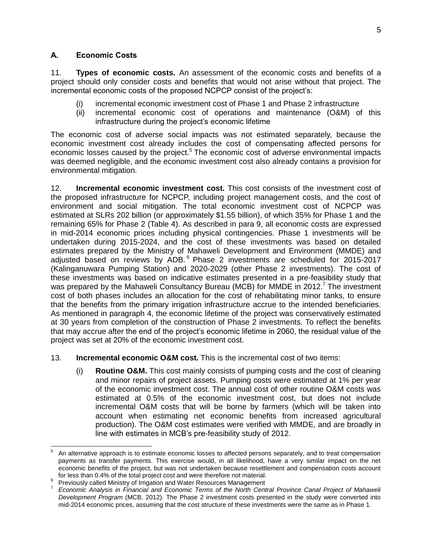## <span id="page-8-0"></span>**A. Economic Costs**

11. **Types of economic costs.** An assessment of the economic costs and benefits of a project should only consider costs and benefits that would not arise without that project. The incremental economic costs of the proposed NCPCP consist of the project's:

- (i) incremental economic investment cost of Phase 1 and Phase 2 infrastructure
- (ii) incremental economic cost of operations and maintenance (O&M) of this infrastructure during the project's economic lifetime

The economic cost of adverse social impacts was not estimated separately, because the economic investment cost already includes the cost of compensating affected persons for economic losses caused by the project.<sup>5</sup> The economic cost of adverse environmental impacts was deemed negligible, and the economic investment cost also already contains a provision for environmental mitigation.

12. **Incremental economic investment cost.** This cost consists of the investment cost of the proposed infrastructure for NCPCP, including project management costs, and the cost of environment and social mitigation. The total economic investment cost of NCPCP was estimated at SLRs 202 billion (or approximately \$1.55 billion), of which 35% for Phase 1 and the remaining 65% for Phase 2 (Table 4). As described in para 9, all economic costs are expressed in mid-2014 economic prices including physical contingencies. Phase 1 investments will be undertaken during 2015-2024, and the cost of these investments was based on detailed estimates prepared by the Ministry of Mahaweli Development and Environment (MMDE) and adjusted based on reviews by ADB.<sup>6</sup> Phase 2 investments are scheduled for 2015-2017 (Kalinganuwara Pumping Station) and 2020-2029 (other Phase 2 investments). The cost of these investments was based on indicative estimates presented in a pre-feasibility study that was prepared by the Mahaweli Consultancy Bureau (MCB) for MMDE in 2012. The investment cost of both phases includes an allocation for the cost of rehabilitating minor tanks, to ensure that the benefits from the primary irrigation infrastructure accrue to the intended beneficiaries. As mentioned in paragraph 4, the economic lifetime of the project was conservatively estimated at 30 years from completion of the construction of Phase 2 investments. To reflect the benefits that may accrue after the end of the project's economic lifetime in 2060, the residual value of the project was set at 20% of the economic investment cost.

- 13. **Incremental economic O&M cost.** This is the incremental cost of two items:
	- (i) **Routine O&M.** This cost mainly consists of pumping costs and the cost of cleaning and minor repairs of project assets. Pumping costs were estimated at 1% per year of the economic investment cost. The annual cost of other routine O&M costs was estimated at 0.5% of the economic investment cost, but does not include incremental O&M costs that will be borne by farmers (which will be taken into account when estimating net economic benefits from increased agricultural production). The O&M cost estimates were verified with MMDE, and are broadly in line with estimates in MCB's pre-feasibility study of 2012.

<sup>-&</sup>lt;br>5 An alternative approach is to estimate economic losses to affected persons separately, and to treat compensation payments as transfer payments. This exercise would, in all likelihood, have a very similar impact on the net economic benefits of the project, but was not undertaken because resettlement and compensation costs account for less than 0.4% of the total project cost and were therefore not material.

<sup>&</sup>lt;sup>6</sup> Previously called Ministry of Irrigation and Water Resources Management<br><sup>7</sup> Economia Apolygia in Financial and Feanamia Tarma of the North Can

*Economic Analysis in Financial and Economic Terms of the North Central Province Canal Project of Mahaweli Development Program* (MCB, 2012). The Phase 2 investment costs presented in the study were converted into mid-2014 economic prices, assuming that the cost structure of these investments were the same as in Phase 1.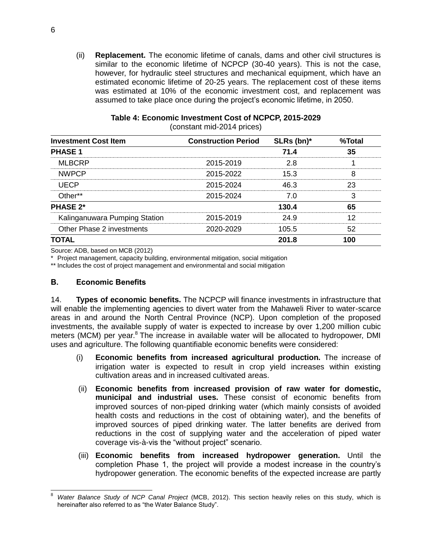(ii) **Replacement.** The economic lifetime of canals, dams and other civil structures is similar to the economic lifetime of NCPCP (30-40 years). This is not the case, however, for hydraulic steel structures and mechanical equipment, which have an estimated economic lifetime of 20-25 years. The replacement cost of these items was estimated at 10% of the economic investment cost, and replacement was assumed to take place once during the project's economic lifetime, in 2050.

<span id="page-9-1"></span>

|                               | (constant mid-2014 prices) |            |        |
|-------------------------------|----------------------------|------------|--------|
| <b>Investment Cost Item</b>   | <b>Construction Period</b> | SLRs (bn)* | %Total |
| <b>PHASE 1</b>                |                            | 71 A       |        |
| <b>MLBCRP</b>                 | 2015-2019                  | 2 R        |        |
| <b>NWPCP</b>                  | 2015-2022                  | 15.3       |        |
| UECP                          | 2015-2024                  | 46 3       |        |
| $Other**$                     | 2015-2024                  | 7 O        |        |
| <b>PHASE 2*</b>               |                            | 130.4      |        |
| Kalinganuwara Pumping Station | 2015-2019                  | 24.9       |        |

Other Phase 2 investments 2020-2029 105.5 52 **TOTAL 201.8 100** 

#### **Table 4: Economic Investment Cost of NCPCP, 2015-2029**   $(201 \text{ m})^2$

Source: ADB, based on MCB (2012)

\* Project management, capacity building, environmental mitigation, social mitigation

\*\* Includes the cost of project management and environmental and social mitigation

### <span id="page-9-0"></span>**B. Economic Benefits**

14. **Types of economic benefits.** The NCPCP will finance investments in infrastructure that will enable the implementing agencies to divert water from the Mahaweli River to water-scarce areas in and around the North Central Province (NCP). Upon completion of the proposed investments, the available supply of water is expected to increase by over 1,200 million cubic meters (MCM) per year.<sup>8</sup> The increase in available water will be allocated to hydropower, DMI uses and agriculture. The following quantifiable economic benefits were considered:

- (i) **Economic benefits from increased agricultural production.** The increase of irrigation water is expected to result in crop yield increases within existing cultivation areas and in increased cultivated areas.
- (ii) **Economic benefits from increased provision of raw water for domestic, municipal and industrial uses.** These consist of economic benefits from improved sources of non-piped drinking water (which mainly consists of avoided health costs and reductions in the cost of obtaining water), and the benefits of improved sources of piped drinking water. The latter benefits are derived from reductions in the cost of supplying water and the acceleration of piped water coverage vis-à-vis the "without project" scenario.
- (iii) **Economic benefits from increased hydropower generation.** Until the completion Phase 1, the project will provide a modest increase in the country's hydropower generation. The economic benefits of the expected increase are partly

<sup>8</sup> <sup>8</sup> *Water Balance Study of NCP Canal Project* (MCB, 2012). This section heavily relies on this study, which is hereinafter also referred to as "the Water Balance Study".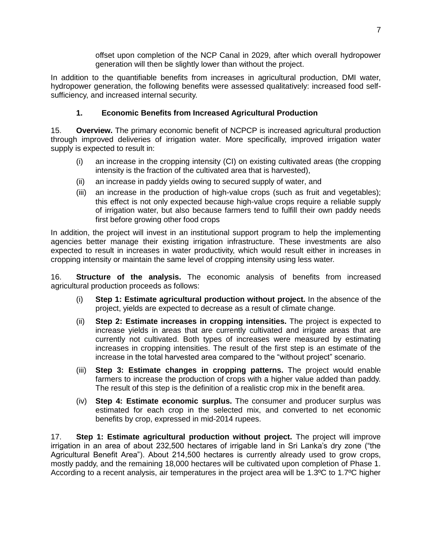offset upon completion of the NCP Canal in 2029, after which overall hydropower generation will then be slightly lower than without the project.

In addition to the quantifiable benefits from increases in agricultural production, DMI water, hydropower generation, the following benefits were assessed qualitatively: increased food selfsufficiency, and increased internal security.

# **1. Economic Benefits from Increased Agricultural Production**

15. **Overview.** The primary economic benefit of NCPCP is increased agricultural production through improved deliveries of irrigation water. More specifically, improved irrigation water supply is expected to result in:

- (i) an increase in the cropping intensity (CI) on existing cultivated areas (the cropping intensity is the fraction of the cultivated area that is harvested),
- (ii) an increase in paddy yields owing to secured supply of water, and
- (iii) an increase in the production of high-value crops (such as fruit and vegetables); this effect is not only expected because high-value crops require a reliable supply of irrigation water, but also because farmers tend to fulfill their own paddy needs first before growing other food crops

In addition, the project will invest in an institutional support program to help the implementing agencies better manage their existing irrigation infrastructure. These investments are also expected to result in increases in water productivity, which would result either in increases in cropping intensity or maintain the same level of cropping intensity using less water.

16. **Structure of the analysis.** The economic analysis of benefits from increased agricultural production proceeds as follows:

- (i) **Step 1: Estimate agricultural production without project.** In the absence of the project, yields are expected to decrease as a result of climate change.
- (ii) **Step 2: Estimate increases in cropping intensities.** The project is expected to increase yields in areas that are currently cultivated and irrigate areas that are currently not cultivated. Both types of increases were measured by estimating increases in cropping intensities. The result of the first step is an estimate of the increase in the total harvested area compared to the "without project" scenario.
- (iii) **Step 3: Estimate changes in cropping patterns.** The project would enable farmers to increase the production of crops with a higher value added than paddy. The result of this step is the definition of a realistic crop mix in the benefit area.
- (iv) **Step 4: Estimate economic surplus.** The consumer and producer surplus was estimated for each crop in the selected mix, and converted to net economic benefits by crop, expressed in mid-2014 rupees.

17. **Step 1: Estimate agricultural production without project.** The project will improve irrigation in an area of about 232,500 hectares of irrigable land in Sri Lanka's dry zone ("the Agricultural Benefit Area"). About 214,500 hectares is currently already used to grow crops, mostly paddy, and the remaining 18,000 hectares will be cultivated upon completion of Phase 1. According to a recent analysis, air temperatures in the project area will be 1.3ºC to 1.7ºC higher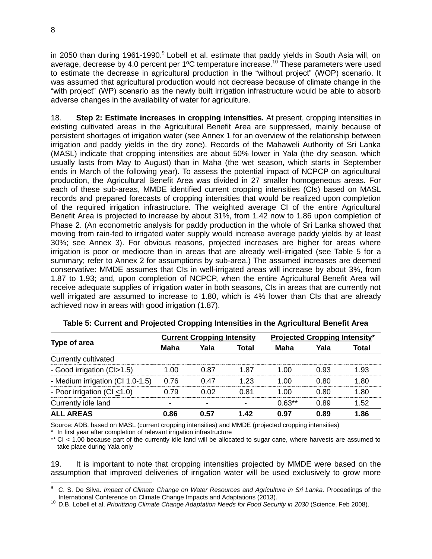in 2050 than during 1961-1990.<sup>9</sup> Lobell et al. estimate that paddy yields in South Asia will, on average, decrease by 4.0 percent per 1ºC temperature increase.<sup>10</sup> These parameters were used to estimate the decrease in agricultural production in the "without project" (WOP) scenario. It was assumed that agricultural production would not decrease because of climate change in the "with project" (WP) scenario as the newly built irrigation infrastructure would be able to absorb adverse changes in the availability of water for agriculture.

18. **Step 2: Estimate increases in cropping intensities.** At present, cropping intensities in existing cultivated areas in the Agricultural Benefit Area are suppressed, mainly because of persistent shortages of irrigation water (see Annex 1 for an overview of the relationship between irrigation and paddy yields in the dry zone). Records of the Mahaweli Authority of Sri Lanka (MASL) indicate that cropping intensities are about 50% lower in Yala (the dry season, which usually lasts from May to August) than in Maha (the wet season, which starts in September ends in March of the following year). To assess the potential impact of NCPCP on agricultural production, the Agricultural Benefit Area was divided in 27 smaller homogeneous areas. For each of these sub-areas, MMDE identified current cropping intensities (CIs) based on MASL records and prepared forecasts of cropping intensities that would be realized upon completion of the required irrigation infrastructure. The weighted average CI of the entire Agricultural Benefit Area is projected to increase by about 31%, from 1.42 now to 1.86 upon completion of Phase 2. (An econometric analysis for paddy production in the whole of Sri Lanka showed that moving from rain-fed to irrigated water supply would increase average paddy yields by at least 30%; see Annex 3). For obvious reasons, projected increases are higher for areas where irrigation is poor or mediocre than in areas that are already well-irrigated (see Table 5 for a summary; refer to Annex 2 for assumptions by sub-area.) The assumed increases are deemed conservative: MMDE assumes that CIs in well-irrigated areas will increase by about 3%, from 1.87 to 1.93; and, upon completion of NCPCP, when the entire Agricultural Benefit Area will receive adequate supplies of irrigation water in both seasons, CIs in areas that are currently not well irrigated are assumed to increase to 1.80, which is 4% lower than CIs that are already achieved now in areas with good irrigation (1.87).

<span id="page-11-0"></span>

|                                  |                          | <b>Current Cropping Intensity</b> |       | <b>Projected Cropping Intensity*</b> |      |       |
|----------------------------------|--------------------------|-----------------------------------|-------|--------------------------------------|------|-------|
| Type of area                     | Maha                     | Yala                              | Total | Maha                                 | Yala | Total |
| Currently cultivated             |                          |                                   |       |                                      |      |       |
| - Good irrigation (CI>1.5)       | 1.00                     | 0.87                              | 1.87  | 1.00                                 | 0.93 | 1.93  |
| - Medium irrigation (CI 1.0-1.5) | 0.76                     | 0.47                              | 1.23  | 1.00                                 | 0.80 | 1.80  |
| - Poor irrigation (CI <1.0)      | 0.79                     | 0.02                              | 0.81  | 1.00                                 | 0.80 | 1.80  |
| Currently idle land              | $\overline{\phantom{0}}$ | $\blacksquare$                    | ٠     | $0.63**$                             | 0.89 | 1.52  |
| <b>ALL AREAS</b>                 | 0.86                     | 0.57                              | 1.42  | 0.97                                 | 0.89 | 1.86  |

**Table 5: Current and Projected Cropping Intensities in the Agricultural Benefit Area**

Source: ADB, based on MASL (current cropping intensities) and MMDE (projected cropping intensities)

In first year after completion of relevant irrigation infrastructure

\*\* CI < 1.00 because part of the currently idle land will be allocated to sugar cane, where harvests are assumed to take place during Yala only

19. It is important to note that cropping intensities projected by MMDE were based on the assumption that improved deliveries of irrigation water will be used exclusively to grow more

j

<sup>9</sup> C. S. De Silva. *Impact of Climate Change on Water Resources and Agriculture in Sri Lanka*. Proceedings of the International Conference on Climate Change Impacts and Adaptations (2013).

<sup>10</sup> D.B. Lobell et al. *Prioritizing Climate Change Adaptation Needs for Food Security in 2030* (Science, Feb 2008).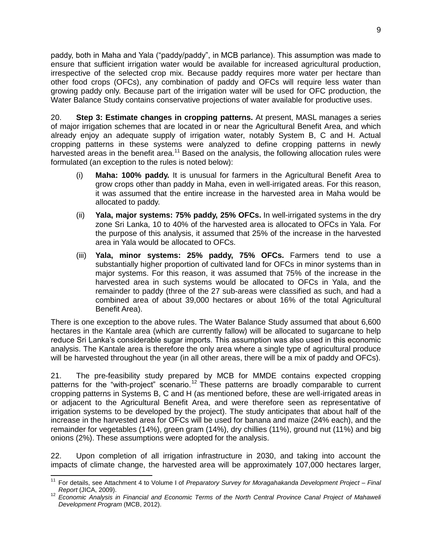paddy, both in Maha and Yala ("paddy/paddy", in MCB parlance). This assumption was made to ensure that sufficient irrigation water would be available for increased agricultural production, irrespective of the selected crop mix. Because paddy requires more water per hectare than other food crops (OFCs), any combination of paddy and OFCs will require less water than growing paddy only. Because part of the irrigation water will be used for OFC production, the Water Balance Study contains conservative projections of water available for productive uses.

20. **Step 3: Estimate changes in cropping patterns.** At present, MASL manages a series of major irrigation schemes that are located in or near the Agricultural Benefit Area, and which already enjoy an adequate supply of irrigation water, notably System B, C and H. Actual cropping patterns in these systems were analyzed to define cropping patterns in newly harvested areas in the benefit area.<sup>11</sup> Based on the analysis, the following allocation rules were formulated (an exception to the rules is noted below):

- (i) **Maha: 100% paddy.** It is unusual for farmers in the Agricultural Benefit Area to grow crops other than paddy in Maha, even in well-irrigated areas. For this reason, it was assumed that the entire increase in the harvested area in Maha would be allocated to paddy.
- (ii) **Yala, major systems: 75% paddy, 25% OFCs.** In well-irrigated systems in the dry zone Sri Lanka, 10 to 40% of the harvested area is allocated to OFCs in Yala. For the purpose of this analysis, it assumed that 25% of the increase in the harvested area in Yala would be allocated to OFCs.
- (iii) **Yala, minor systems: 25% paddy, 75% OFCs.** Farmers tend to use a substantially higher proportion of cultivated land for OFCs in minor systems than in major systems. For this reason, it was assumed that 75% of the increase in the harvested area in such systems would be allocated to OFCs in Yala, and the remainder to paddy (three of the 27 sub-areas were classified as such, and had a combined area of about 39,000 hectares or about 16% of the total Agricultural Benefit Area).

There is one exception to the above rules. The Water Balance Study assumed that about 6,600 hectares in the Kantale area (which are currently fallow) will be allocated to sugarcane to help reduce Sri Lanka's considerable sugar imports. This assumption was also used in this economic analysis. The Kantale area is therefore the only area where a single type of agricultural produce will be harvested throughout the year (in all other areas, there will be a mix of paddy and OFCs).

21. The pre-feasibility study prepared by MCB for MMDE contains expected cropping patterns for the "with-project" scenario.<sup>12</sup> These patterns are broadly comparable to current cropping patterns in Systems B, C and H (as mentioned before, these are well-irrigated areas in or adjacent to the Agricultural Benefit Area, and were therefore seen as representative of irrigation systems to be developed by the project). The study anticipates that about half of the increase in the harvested area for OFCs will be used for banana and maize (24% each), and the remainder for vegetables (14%), green gram (14%), dry chillies (11%), ground nut (11%) and big onions (2%). These assumptions were adopted for the analysis.

22. Upon completion of all irrigation infrastructure in 2030, and taking into account the impacts of climate change, the harvested area will be approximately 107,000 hectares larger,

 $\overline{a}$ <sup>11</sup> For details, see Attachment 4 to Volume I of *Preparatory Survey for Moragahakanda Development Project – Final Report* (JICA, 2009).

<sup>12</sup> *Economic Analysis in Financial and Economic Terms of the North Central Province Canal Project of Mahaweli Development Program* (MCB, 2012).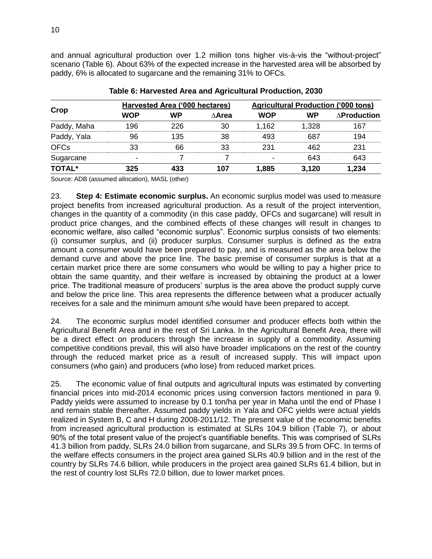and annual agricultural production over 1.2 million tons higher vis-à-vis the "without-project" scenario (Table 6). About 63% of the expected increase in the harvested area will be absorbed by paddy, 6% is allocated to sugarcane and the remaining 31% to OFCs.

<span id="page-13-0"></span>

|               |     | Harvested Area ('000 hectares) |               | <b>Agricultural Production ('000 tons)</b> |           |                     |
|---------------|-----|--------------------------------|---------------|--------------------------------------------|-----------|---------------------|
| Crop          | WOP | <b>WP</b>                      | $\wedge$ Area | <b>WOP</b>                                 | <b>WP</b> | $\Delta$ Production |
| Paddy, Maha   | 196 | 226                            | 30            | 1,162                                      | 1,328     | 167                 |
| Paddy, Yala   | 96  | 135                            | 38            | 493                                        | 687       | 194                 |
| <b>OFCs</b>   | 33  | 66                             | 33            | 231                                        | 462       | 231                 |
| Sugarcane     |     |                                |               |                                            | 643       | 643                 |
| <b>TOTAL*</b> | 325 | 433                            | 107           | 1,885                                      | 3,120     | 1,234               |

## **Table 6: Harvested Area and Agricultural Production, 2030**

Source: ADB (assumed allocation), MASL (other)

23. **Step 4: Estimate economic surplus.** An economic surplus model was used to measure project benefits from increased agricultural production. As a result of the project intervention, changes in the quantity of a commodity (in this case paddy, OFCs and sugarcane) will result in product price changes, and the combined effects of these changes will result in changes to economic welfare, also called "economic surplus". Economic surplus consists of two elements: (i) consumer surplus, and (ii) producer surplus. Consumer surplus is defined as the extra amount a consumer would have been prepared to pay, and is measured as the area below the demand curve and above the price line. The basic premise of consumer surplus is that at a certain market price there are some consumers who would be willing to pay a higher price to obtain the same quantity, and their welfare is increased by obtaining the product at a lower price. The traditional measure of producers' surplus is the area above the product supply curve and below the price line. This area represents the difference between what a producer actually receives for a sale and the minimum amount s/he would have been prepared to accept.

24. The economic surplus model identified consumer and producer effects both within the Agricultural Benefit Area and in the rest of Sri Lanka. In the Agricultural Benefit Area, there will be a direct effect on producers through the increase in supply of a commodity. Assuming competitive conditions prevail, this will also have broader implications on the rest of the country through the reduced market price as a result of increased supply. This will impact upon consumers (who gain) and producers (who lose) from reduced market prices.

25. The economic value of final outputs and agricultural inputs was estimated by converting financial prices into mid-2014 economic prices using conversion factors mentioned in para 9. Paddy yields were assumed to increase by 0.1 ton/ha per year in Maha until the end of Phase I and remain stable thereafter. Assumed paddy yields in Yala and OFC yields were actual yields realized in System B, C and H during 2008-2011/12. The present value of the economic benefits from increased agricultural production is estimated at SLRs 104.9 billion (Table 7), or about 90% of the total present value of the project's quantifiable benefits. This was comprised of SLRs 41.3 billion from paddy, SLRs 24.0 billion from sugarcane, and SLRs 39.5 from OFC. In terms of the welfare effects consumers in the project area gained SLRs 40.9 billion and in the rest of the country by SLRs 74.6 billion, while producers in the project area gained SLRs 61.4 billion, but in the rest of country lost SLRs 72.0 billion, due to lower market prices.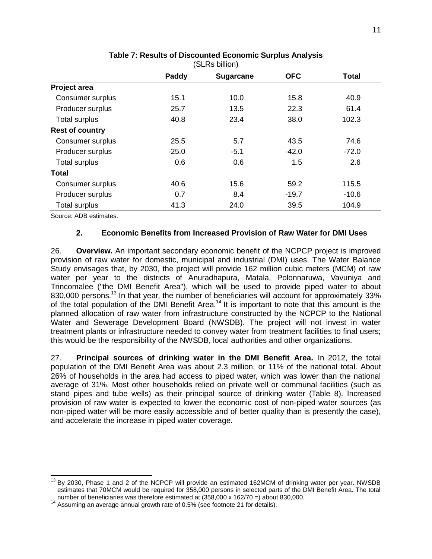| (ƏLRS DIIIION)         |         |                  |            |              |  |  |
|------------------------|---------|------------------|------------|--------------|--|--|
|                        | Paddy   | <b>Sugarcane</b> | <b>OFC</b> | <b>Total</b> |  |  |
| Project area           |         |                  |            |              |  |  |
| Consumer surplus       | 15.1    | 10.0             | 15.8       | 40.9         |  |  |
| Producer surplus       | 25.7    | 13.5             | 22.3       | 61.4         |  |  |
| <b>Total surplus</b>   | 40.8    | 23.4             | 38.0       | 102.3        |  |  |
| <b>Rest of country</b> |         |                  |            |              |  |  |
| Consumer surplus       | 25.5    | 5.7              | 43.5       | 74.6         |  |  |
| Producer surplus       | $-25.0$ | $-5.1$           | $-42.0$    | $-72.0$      |  |  |
| <b>Total surplus</b>   | 0.6     | 0.6              | 1.5        | 2.6          |  |  |
| <b>Total</b>           |         |                  |            |              |  |  |
| Consumer surplus       | 40.6    | 15.6             | 59.2       | 115.5        |  |  |
| Producer surplus       | 0.7     | 8.4              | $-19.7$    | $-10.6$      |  |  |
| Total surplus          | 41.3    | 24.0             | 39.5       | 104.9        |  |  |

#### **Table 7: Results of Discounted Economic Surplus Analysis**  $(CI<sub>DA</sub> billion)$

Source: ADB estimates.

 $\overline{a}$ 

## **2. Economic Benefits from Increased Provision of Raw Water for DMI Uses**

26. **Overview.** An important secondary economic benefit of the NCPCP project is improved provision of raw water for domestic, municipal and industrial (DMI) uses. The Water Balance Study envisages that, by 2030, the project will provide 162 million cubic meters (MCM) of raw water per year to the districts of Anuradhapura, Matala, Polonnaruwa, Vavuniya and Trincomalee ("the DMI Benefit Area"), which will be used to provide piped water to about 830,000 persons.<sup>13</sup> In that year, the number of beneficiaries will account for approximately 33% of the total population of the DMI Benefit Area.<sup>14</sup> It is important to note that this amount is the planned allocation of raw water from infrastructure constructed by the NCPCP to the National Water and Sewerage Development Board (NWSDB). The project will not invest in water treatment plants or infrastructure needed to convey water from treatment facilities to final users; this would be the responsibility of the NWSDB, local authorities and other organizations.

27. **Principal sources of drinking water in the DMI Benefit Area.** In 2012, the total population of the DMI Benefit Area was about 2.3 million, or 11% of the national total. About 26% of households in the area had access to piped water, which was lower than the national average of 31%. Most other households relied on private well or communal facilities (such as stand pipes and tube wells) as their principal source of drinking water (Table 8). Increased provision of raw water is expected to lower the economic cost of non-piped water sources (as non-piped water will be more easily accessible and of better quality than is presently the case), and accelerate the increase in piped water coverage.

 $13$  By 2030, Phase 1 and 2 of the NCPCP will provide an estimated 162MCM of drinking water per year. NWSDB estimates that 70MCM would be required for 358,000 persons in selected parts of the DMI Benefit Area. The total number of beneficiaries was therefore estimated at (358,000 x 162/70 =) about 830,000.

 $14$  Assuming an average annual growth rate of 0.5% (see footnote 21 for details).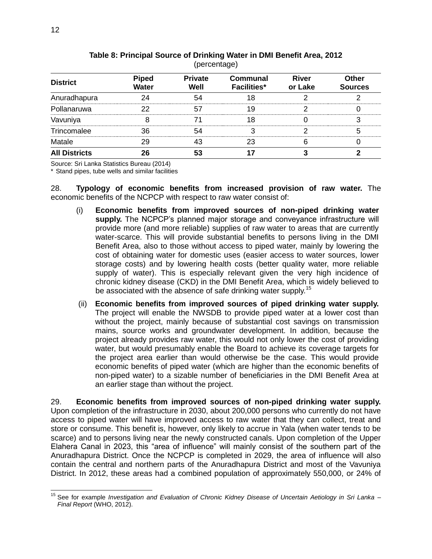<span id="page-15-0"></span>

| <b>District</b>      | <b>Piped</b><br><b>Water</b> | <b>Private</b><br>Well | <b>Communal</b><br><b>Facilities*</b> | <b>River</b><br>or Lake | <b>Other</b><br><b>Sources</b> |
|----------------------|------------------------------|------------------------|---------------------------------------|-------------------------|--------------------------------|
| Anuradhapura         | 24                           | 54                     |                                       |                         |                                |
| Pollanaruwa          | つつ                           | 57                     | 19                                    |                         |                                |
| Vavuniya             |                              |                        | 18                                    |                         |                                |
| Trincomalee          | 36                           | 54                     |                                       |                         | 5                              |
| Matale               | 29                           | 43                     | 23                                    |                         |                                |
| <b>All Districts</b> | 26                           | 53                     |                                       |                         |                                |

#### **Table 8: Principal Source of Drinking Water in DMI Benefit Area, 2012**   $(parent and)$

Source: Sri Lanka Statistics Bureau (2014)

\* Stand pipes, tube wells and similar facilities

28. **Typology of economic benefits from increased provision of raw water.** The economic benefits of the NCPCP with respect to raw water consist of:

- (i) **Economic benefits from improved sources of non-piped drinking water supply.** The NCPCP's planned major storage and conveyance infrastructure will provide more (and more reliable) supplies of raw water to areas that are currently water-scarce. This will provide substantial benefits to persons living in the DMI Benefit Area, also to those without access to piped water, mainly by lowering the cost of obtaining water for domestic uses (easier access to water sources, lower storage costs) and by lowering health costs (better quality water, more reliable supply of water). This is especially relevant given the very high incidence of chronic kidney disease (CKD) in the DMI Benefit Area, which is widely believed to be associated with the absence of safe drinking water supply.<sup>15</sup>
- (ii) **Economic benefits from improved sources of piped drinking water supply.** The project will enable the NWSDB to provide piped water at a lower cost than without the project, mainly because of substantial cost savings on transmission mains, source works and groundwater development. In addition, because the project already provides raw water, this would not only lower the cost of providing water, but would presumably enable the Board to achieve its coverage targets for the project area earlier than would otherwise be the case. This would provide economic benefits of piped water (which are higher than the economic benefits of non-piped water) to a sizable number of beneficiaries in the DMI Benefit Area at an earlier stage than without the project.

29. **Economic benefits from improved sources of non-piped drinking water supply.** Upon completion of the infrastructure in 2030, about 200,000 persons who currently do not have access to piped water will have improved access to raw water that they can collect, treat and store or consume. This benefit is, however, only likely to accrue in Yala (when water tends to be scarce) and to persons living near the newly constructed canals. Upon completion of the Upper Elahera Canal in 2023, this "area of influence" will mainly consist of the southern part of the Anuradhapura District. Once the NCPCP is completed in 2029, the area of influence will also contain the central and northern parts of the Anuradhapura District and most of the Vavuniya District. In 2012, these areas had a combined population of approximately 550,000, or 24% of

 $\overline{a}$ 

<sup>15</sup> See for example *Investigation and Evaluation of Chronic Kidney Disease of Uncertain Aetiology in Sri Lanka – Final Report* (WHO, 2012).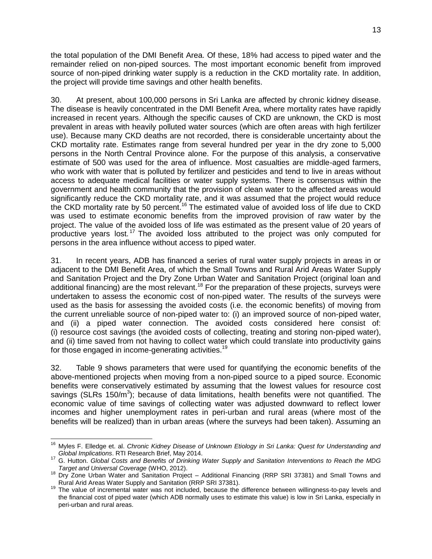the total population of the DMI Benefit Area. Of these, 18% had access to piped water and the remainder relied on non-piped sources. The most important economic benefit from improved source of non-piped drinking water supply is a reduction in the CKD mortality rate. In addition, the project will provide time savings and other health benefits.

30. At present, about 100,000 persons in Sri Lanka are affected by chronic kidney disease. The disease is heavily concentrated in the DMI Benefit Area, where mortality rates have rapidly increased in recent years. Although the specific causes of CKD are unknown, the CKD is most prevalent in areas with heavily polluted water sources (which are often areas with high fertilizer use). Because many CKD deaths are not recorded, there is considerable uncertainty about the CKD mortality rate. Estimates range from several hundred per year in the dry zone to 5,000 persons in the North Central Province alone. For the purpose of this analysis, a conservative estimate of 500 was used for the area of influence. Most casualties are middle-aged farmers, who work with water that is polluted by fertilizer and pesticides and tend to live in areas without access to adequate medical facilities or water supply systems. There is consensus within the government and health community that the provision of clean water to the affected areas would significantly reduce the CKD mortality rate, and it was assumed that the project would reduce the CKD mortality rate by 50 percent.<sup>16</sup> The estimated value of avoided loss of life due to CKD was used to estimate economic benefits from the improved provision of raw water by the project. The value of the avoided loss of life was estimated as the present value of 20 years of productive years lost. <sup>17</sup> The avoided loss attributed to the project was only computed for persons in the area influence without access to piped water.

31. In recent years, ADB has financed a series of rural water supply projects in areas in or adjacent to the DMI Benefit Area, of which the Small Towns and Rural Arid Areas Water Supply and Sanitation Project and the Dry Zone Urban Water and Sanitation Project (original loan and additional financing) are the most relevant.<sup>18</sup> For the preparation of these projects, surveys were undertaken to assess the economic cost of non-piped water. The results of the surveys were used as the basis for assessing the avoided costs (i.e. the economic benefits) of moving from the current unreliable source of non-piped water to: (i) an improved source of non-piped water, and (ii) a piped water connection. The avoided costs considered here consist of: (i) resource cost savings (the avoided costs of collecting, treating and storing non-piped water), and (ii) time saved from not having to collect water which could translate into productivity gains for those engaged in income-generating activities.<sup>19</sup>

32. Table 9 shows parameters that were used for quantifying the economic benefits of the above-mentioned projects when moving from a non-piped source to a piped source. Economic benefits were conservatively estimated by assuming that the lowest values for resource cost savings (SLRs 150/m<sup>3</sup>); because of data limitations, health benefits were not quantified. The economic value of time savings of collecting water was adjusted downward to reflect lower incomes and higher unemployment rates in peri-urban and rural areas (where most of the benefits will be realized) than in urban areas (where the surveys had been taken). Assuming an

 <sup>16</sup> Myles F. Elledge et. al. *Chronic Kidney Disease of Unknown Etiology in Sri Lanka: Quest for Understanding and Global Implications*. RTI Research Brief, May 2014.

<sup>&</sup>lt;sup>17</sup> G. Hutton. *Global Costs and Benefits of Drinking Water Supply and Sanitation Interventions to Reach the MDG Target and Universal Coverage* (WHO, 2012).

<sup>&</sup>lt;sup>18</sup> Dry Zone Urban Water and Sanitation Project – Additional Financing (RRP SRI 37381) and Small Towns and Rural Arid Areas Water Supply and Sanitation (RRP SRI 37381).

<sup>19</sup> The value of incremental water was not included, because the difference between willingness-to-pay levels and the financial cost of piped water (which ADB normally uses to estimate this value) is low in Sri Lanka, especially in peri-urban and rural areas.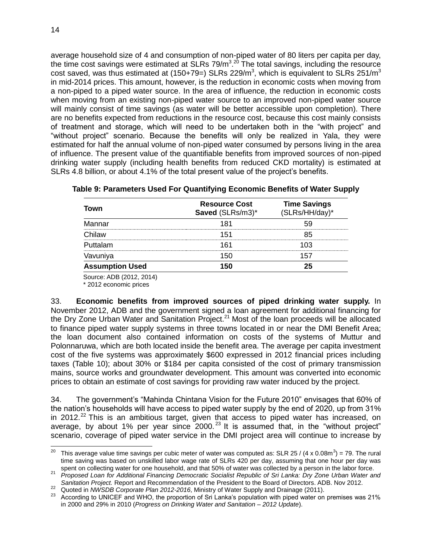average household size of 4 and consumption of non-piped water of 80 liters per capita per day, the time cost savings were estimated at SLRs 79/m<sup>3 20</sup> The total savings, including the resource cost saved, was thus estimated at (150+79=) SLRs 229/m<sup>3</sup>, which is equivalent to SLRs 251/m<sup>3</sup> in mid-2014 prices. This amount, however, is the reduction in economic costs when moving from a non-piped to a piped water source. In the area of influence, the reduction in economic costs when moving from an existing non-piped water source to an improved non-piped water source will mainly consist of time savings (as water will be better accessible upon completion). There are no benefits expected from reductions in the resource cost, because this cost mainly consists of treatment and storage, which will need to be undertaken both in the "with project" and "without project" scenario. Because the benefits will only be realized in Yala, they were estimated for half the annual volume of non-piped water consumed by persons living in the area of influence. The present value of the quantifiable benefits from improved sources of non-piped drinking water supply (including health benefits from reduced CKD mortality) is estimated at SLRs 4.8 billion, or about 4.1% of the total present value of the project's benefits.

| Town                   | <b>Resource Cost</b><br>Saved (SLRs/m3)* | <b>Time Savings</b><br>(SLRs/HH/day)* |
|------------------------|------------------------------------------|---------------------------------------|
| Mannar                 | 181                                      |                                       |
| Chilaw                 | 151                                      | 85                                    |
| Puttalam               | 161                                      |                                       |
| Vavuniya               | 150                                      |                                       |
| <b>Assumption Used</b> | 50                                       |                                       |
|                        |                                          |                                       |

## <span id="page-17-0"></span>**Table 9: Parameters Used For Quantifying Economic Benefits of Water Supply**

Source: ADB (2012, 2014)

\* 2012 economic prices

33. **Economic benefits from improved sources of piped drinking water supply.** In November 2012, ADB and the government signed a loan agreement for additional financing for the Dry Zone Urban Water and Sanitation Project. $^{21}$  Most of the loan proceeds will be allocated to finance piped water supply systems in three towns located in or near the DMI Benefit Area; the loan document also contained information on costs of the systems of Muttur and Polonnaruwa, which are both located inside the benefit area. The average per capita investment cost of the five systems was approximately \$600 expressed in 2012 financial prices including taxes (Table 10); about 30% or \$184 per capita consisted of the cost of primary transmission mains, source works and groundwater development. This amount was converted into economic prices to obtain an estimate of cost savings for providing raw water induced by the project.

<span id="page-17-1"></span>34. The government's "Mahinda Chintana Vision for the Future 2010" envisages that 60% of the nation's households will have access to piped water supply by the end of 2020, up from 31% in 2012.<sup>22</sup> This is an ambitious target, given that access to piped water has increased, on average, by about 1% per year since  $2000$ .<sup>23</sup> It is assumed that, in the "without project" scenario, coverage of piped water service in the DMI project area will continue to increase by

 $20\,$ <sup>20</sup> This average value time savings per cubic meter of water was computed as: SLR 25 / (4 x 0.08m<sup>3</sup>) = 79. The rural time saving was based on unskilled labor wage rate of SLRs 420 per day, assuming that one hour per day was spent on collecting water for one household, and that 50% of water was collected by a person in the labor force.

<sup>21</sup> *Proposed Loan for Additional Financing Democratic Socialist Republic of Sri Lanka: Dry Zone Urban Water and Sanitation Project.* Report and Recommendation of the President to the Board of Directors. ADB. Nov 2012.

<sup>22</sup> Quoted in *NWSDB Corporate Plan 2012-2016*, Ministry of Water Supply and Drainage (2011).

<sup>&</sup>lt;sup>23</sup> According to UNICEF and WHO, the proportion of Sri Lanka's population with piped water on premises was 21% in 2000 and 29% in 2010 (*Progress on Drinking Water and Sanitation – 2012 Update*).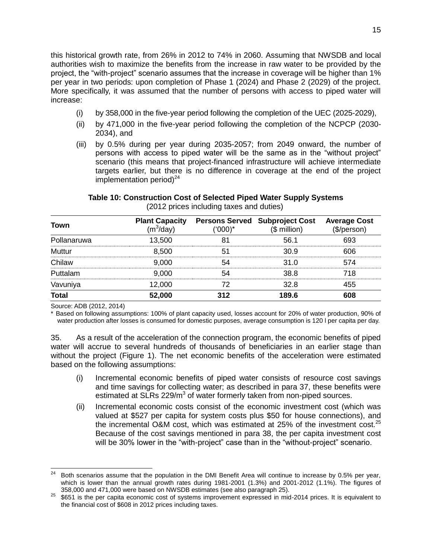this historical growth rate, from 26% in 2012 to 74% in 2060. Assuming that NWSDB and local authorities wish to maximize the benefits from the increase in raw water to be provided by the project, the "with-project" scenario assumes that the increase in coverage will be higher than 1% per year in two periods: upon completion of Phase 1 (2024) and Phase 2 (2029) of the project. More specifically, it was assumed that the number of persons with access to piped water will increase:

- (i) by 358,000 in the five-year period following the completion of the UEC (2025-2029),
- (ii) by 471,000 in the five-year period following the completion of the NCPCP (2030- 2034), and
- (iii) by 0.5% during per year during 2035-2057; from 2049 onward, the number of persons with access to piped water will be the same as in the "without project" scenario (this means that project-financed infrastructure will achieve intermediate targets earlier, but there is no difference in coverage at the end of the project implementation period) $^{24}$

| Town         | <b>Plant Capacity</b><br>$(m^3$ /day) | ('000)* | <b>Persons Served Subproject Cost</b><br>$($$ million) | <b>Average Cost</b><br>(\$/person) |
|--------------|---------------------------------------|---------|--------------------------------------------------------|------------------------------------|
| Pollanaruwa  | 13.500                                | 81      | 56.1                                                   | 693                                |
| Muttur       | 8,500                                 | 51      | 30.9                                                   | 606                                |
| Chilaw       | 9,000                                 | 54      | 31.0                                                   | 574                                |
| Puttalam     | 9.000                                 | 54      | 38.8                                                   | 718                                |
| Vavuniya     | 12,000                                | 72      | 32.8                                                   | 455                                |
| <b>Total</b> | 52,000                                | 312     | 189.6                                                  | 608                                |

# **Table 10: Construction Cost of Selected Piped Water Supply Systems**

(2012 prices including taxes and duties)

Source: ADB (2012, 2014)

\* Based on following assumptions: 100% of plant capacity used, losses account for 20% of water production, 90% of water production after losses is consumed for domestic purposes, average consumption is 120 l per capita per day.

35. As a result of the acceleration of the connection program, the economic benefits of piped water will accrue to several hundreds of thousands of beneficiaries in an earlier stage than without the project (Figure 1). The net economic benefits of the acceleration were estimated based on the following assumptions:

- (i) Incremental economic benefits of piped water consists of resource cost savings and time savings for collecting water; as described in para 37, these benefits were estimated at SLRs 229/m<sup>3</sup> of water formerly taken from non-piped sources.
- (ii) Incremental economic costs consist of the economic investment cost (which was valued at \$527 per capita for system costs plus \$50 for house connections), and the incremental O&M cost, which was estimated at 25% of the investment cost.<sup>25</sup> Because of the cost savings mentioned in para 38, the per capita investment cost will be 30% lower in the "with-project" case than in the "without-project" scenario.

 $\overline{a}$ <sup>24</sup> Both scenarios assume that the population in the DMI Benefit Area will continue to increase by 0.5% per year, which is lower than the annual growth rates during 1981-2001 (1.3%) and 2001-2012 (1.1%). The figures of 358,000 and 471,000 were based on NWSDB estimates (see also paragraph 25).

<sup>&</sup>lt;sup>25</sup> \$651 is the per capita economic cost of systems improvement expressed in mid-2014 prices. It is equivalent to the financial cost of \$608 in 2012 prices including taxes.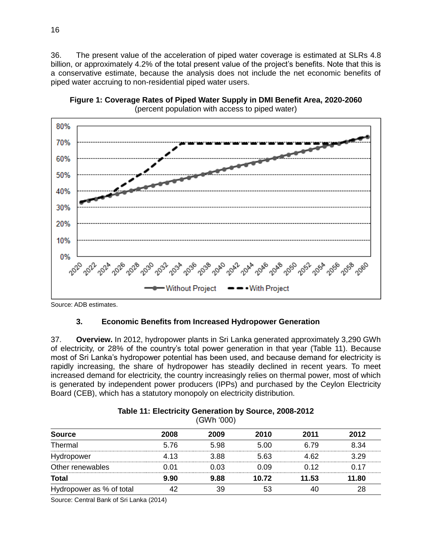36. The present value of the acceleration of piped water coverage is estimated at SLRs 4.8 billion, or approximately 4.2% of the total present value of the project's benefits. Note that this is a conservative estimate, because the analysis does not include the net economic benefits of piped water accruing to non-residential piped water users.

<span id="page-19-1"></span>**Figure 1: Coverage Rates of Piped Water Supply in DMI Benefit Area, 2020-2060**



(percent population with access to piped water)

Source: ADB estimates.

## **3. Economic Benefits from Increased Hydropower Generation**

37. **Overview.** In 2012, hydropower plants in Sri Lanka generated approximately 3,290 GWh of electricity, or 28% of the country's total power generation in that year (Table 11). Because most of Sri Lanka's hydropower potential has been used, and because demand for electricity is rapidly increasing, the share of hydropower has steadily declined in recent years. To meet increased demand for electricity, the country increasingly relies on thermal power, most of which is generated by independent power producers (IPPs) and purchased by the Ceylon Electricity Board (CEB), which has a statutory monopoly on electricity distribution.

<span id="page-19-0"></span>

| 1000110001               |      |      |       |       |       |  |  |  |  |
|--------------------------|------|------|-------|-------|-------|--|--|--|--|
| <b>Source</b>            | 2008 | 2009 | 2010  | 2011  | 2012  |  |  |  |  |
| Thermal                  | 5.76 | 5.98 | 5.00  | 6.79  | 8.34  |  |  |  |  |
| Hydropower               | 4.13 | 3.88 | 5.63  | 4.62  | 3.29  |  |  |  |  |
| Other renewables         | 0.01 | 0.03 | 0.09  | 0.12  | 0.17  |  |  |  |  |
| <b>Total</b>             | 9.90 | 9.88 | 10.72 | 11.53 | 11.80 |  |  |  |  |
| Hydropower as % of total | 42   | 39   | 53    | 40    | 28    |  |  |  |  |

### **Table 11: Electricity Generation by Source, 2008-2012**  (GWh '000)

Source: Central Bank of Sri Lanka (2014)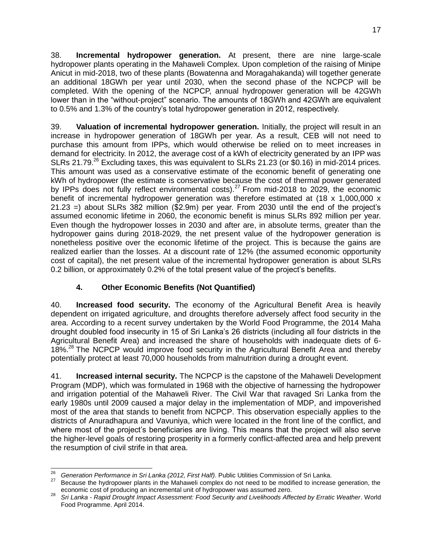38. **Incremental hydropower generation.** At present, there are nine large-scale hydropower plants operating in the Mahaweli Complex. Upon completion of the raising of Minipe Anicut in mid-2018, two of these plants (Bowatenna and Moragahakanda) will together generate an additional 18GWh per year until 2030, when the second phase of the NCPCP will be completed. With the opening of the NCPCP, annual hydropower generation will be 42GWh lower than in the "without-project" scenario. The amounts of 18GWh and 42GWh are equivalent to 0.5% and 1.3% of the country's total hydropower generation in 2012, respectively.

39. **Valuation of incremental hydropower generation.** Initially, the project will result in an increase in hydropower generation of 18GWh per year. As a result, CEB will not need to purchase this amount from IPPs, which would otherwise be relied on to meet increases in demand for electricity. In 2012, the average cost of a kWh of electricity generated by an IPP was SLRs 21.79.<sup>26</sup> Excluding taxes, this was equivalent to SLRs 21.23 (or \$0.16) in mid-2014 prices. This amount was used as a conservative estimate of the economic benefit of generating one kWh of hydropower (the estimate is conservative because the cost of thermal power generated by IPPs does not fully reflect environmental costs).<sup>27</sup> From mid-2018 to 2029, the economic benefit of incremental hydropower generation was therefore estimated at (18 x 1,000,000 x 21.23 =) about SLRs 382 million (\$2.9m) per year. From 2030 until the end of the project's assumed economic lifetime in 2060, the economic benefit is minus SLRs 892 million per year. Even though the hydropower losses in 2030 and after are, in absolute terms, greater than the hydropower gains during 2018-2029, the net present value of the hydropower generation is nonetheless positive over the economic lifetime of the project. This is because the gains are realized earlier than the losses. At a discount rate of 12% (the assumed economic opportunity cost of capital), the net present value of the incremental hydropower generation is about SLRs 0.2 billion, or approximately 0.2% of the total present value of the project's benefits.

# **4. Other Economic Benefits (Not Quantified)**

40. **Increased food security.** The economy of the Agricultural Benefit Area is heavily dependent on irrigated agriculture, and droughts therefore adversely affect food security in the area. According to a recent survey undertaken by the World Food Programme, the 2014 Maha drought doubled food insecurity in 15 of Sri Lanka's 26 districts (including all four districts in the Agricultural Benefit Area) and increased the share of households with inadequate diets of 6- 18%.<sup>28</sup> The NCPCP would improve food security in the Agricultural Benefit Area and thereby potentially protect at least 70,000 households from malnutrition during a drought event.

41. **Increased internal security.** The NCPCP is the capstone of the Mahaweli Development Program (MDP), which was formulated in 1968 with the objective of harnessing the hydropower and irrigation potential of the Mahaweli River. The Civil War that ravaged Sri Lanka from the early 1980s until 2009 caused a major delay in the implementation of MDP, and impoverished most of the area that stands to benefit from NCPCP. This observation especially applies to the districts of Anuradhapura and Vavuniya, which were located in the front line of the conflict, and where most of the project's beneficiaries are living. This means that the project will also serve the higher-level goals of restoring prosperity in a formerly conflict-affected area and help prevent the resumption of civil strife in that area.

<sup>26</sup> <sup>26</sup> *Generation Performance in Sri Lanka (2012, First Half)*. Public Utilities Commission of Sri Lanka.

<sup>27</sup> Because the hydropower plants in the Mahaweli complex do not need to be modified to increase generation, the economic cost of producing an incremental unit of hydropower was assumed zero.

<sup>28</sup> *Sri Lanka - Rapid Drought Impact Assessment: Food Security and Livelihoods Affected by Erratic Weather*. World Food Programme. April 2014.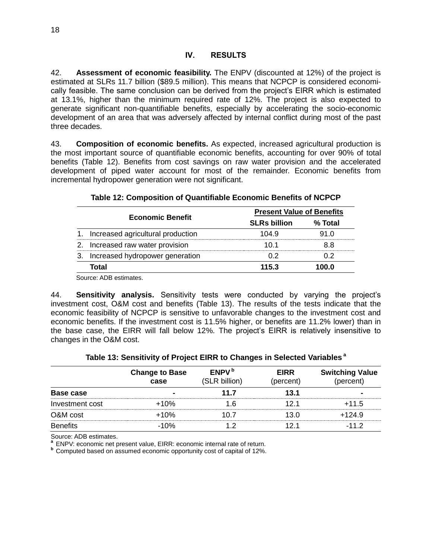<span id="page-21-0"></span>42. **Assessment of economic feasibility.** The ENPV (discounted at 12%) of the project is estimated at SLRs 11.7 billion (\$89.5 million). This means that NCPCP is considered economically feasible. The same conclusion can be derived from the project's EIRR which is estimated at 13.1%, higher than the minimum required rate of 12%. The project is also expected to generate significant non-quantifiable benefits, especially by accelerating the socio-economic development of an area that was adversely affected by internal conflict during most of the past three decades.

43. **Composition of economic benefits.** As expected, increased agricultural production is the most important source of quantifiable economic benefits, accounting for over 90% of total benefits (Table 12). Benefits from cost savings on raw water provision and the accelerated development of piped water account for most of the remainder. Economic benefits from incremental hydropower generation were not significant.

<span id="page-21-1"></span>

|         |                                    | <b>Present Value of Benefits</b> |         |  |  |
|---------|------------------------------------|----------------------------------|---------|--|--|
|         | <b>Economic Benefit</b>            | <b>SLRs billion</b>              | % Total |  |  |
|         | Increased agricultural production  | 104.9                            | 91 N    |  |  |
| $2_{-}$ | Increased raw water provision      | 10 1                             | 88      |  |  |
|         | 3. Increased hydropower generation | በ 2                              | በ 2     |  |  |
|         | Total                              | 115.3                            | 100.0   |  |  |
|         | $\sim$ $\sim$ $\sim$ $\sim$ $\sim$ |                                  |         |  |  |

### **Table 12: Composition of Quantifiable Economic Benefits of NCPCP**

Source: ADB estimates.

44. **Sensitivity analysis.** Sensitivity tests were conducted by varying the project's investment cost, O&M cost and benefits (Table 13). The results of the tests indicate that the economic feasibility of NCPCP is sensitive to unfavorable changes to the investment cost and economic benefits. If the investment cost is 11.5% higher, or benefits are 11.2% lower) than in the base case, the EIRR will fall below 12%. The project's EIRR is relatively insensitive to changes in the O&M cost.

<span id="page-21-2"></span>

|                 | <b>Change to Base</b><br>case | ENPV <sup>b</sup><br>(SLR billion) | <b>EIRR</b><br>(percent) | <b>Switching Value</b><br>(percent) |
|-----------------|-------------------------------|------------------------------------|--------------------------|-------------------------------------|
| Base case       |                               | 11.7                               | 13.1                     |                                     |
| Investment cost | $+10%$                        | 1 6                                | 121                      | $+11.5$                             |
| O&M cost        | $+10%$                        | 10.7                               | 13 O                     | $+124.9$                            |
| <b>Benefits</b> | $-10%$                        |                                    | 12 1                     | $-112$                              |

## **Table 13: Sensitivity of Project EIRR to Changes in Selected Variables <sup>a</sup>**

Source: ADB estimates.

**a** ENPV: economic net present value, EIRR: economic internal rate of return.

**b** Computed based on assumed economic opportunity cost of capital of 12%.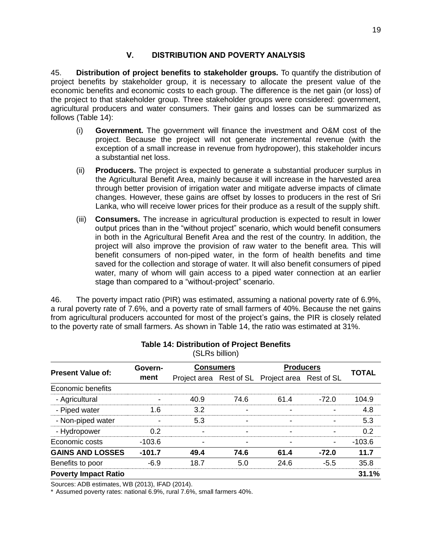## **V. DISTRIBUTION AND POVERTY ANALYSIS**

<span id="page-22-0"></span>45. **Distribution of project benefits to stakeholder groups.** To quantify the distribution of project benefits by stakeholder group, it is necessary to allocate the present value of the economic benefits and economic costs to each group. The difference is the net gain (or loss) of the project to that stakeholder group. Three stakeholder groups were considered: government, agricultural producers and water consumers. Their gains and losses can be summarized as follows (Table 14):

- (i) **Government.** The government will finance the investment and O&M cost of the project. Because the project will not generate incremental revenue (with the exception of a small increase in revenue from hydropower), this stakeholder incurs a substantial net loss.
- (ii) **Producers.** The project is expected to generate a substantial producer surplus in the Agricultural Benefit Area, mainly because it will increase in the harvested area through better provision of irrigation water and mitigate adverse impacts of climate changes. However, these gains are offset by losses to producers in the rest of Sri Lanka, who will receive lower prices for their produce as a result of the supply shift.
- (iii) **Consumers.** The increase in agricultural production is expected to result in lower output prices than in the "without project" scenario, which would benefit consumers in both in the Agricultural Benefit Area and the rest of the country. In addition, the project will also improve the provision of raw water to the benefit area. This will benefit consumers of non-piped water, in the form of health benefits and time saved for the collection and storage of water. It will also benefit consumers of piped water, many of whom will gain access to a piped water connection at an earlier stage than compared to a "without-project" scenario.

46. The poverty impact ratio (PIR) was estimated, assuming a national poverty rate of 6.9%, a rural poverty rate of 7.6%, and a poverty rate of small farmers of 40%. Because the net gains from agricultural producers accounted for most of the project's gains, the PIR is closely related to the poverty rate of small farmers. As shown in Table 14, the ratio was estimated at 31%.

<span id="page-22-1"></span>

| וייטיייש שי ישט             |          |                          |                |                                                 |                          |              |  |  |  |
|-----------------------------|----------|--------------------------|----------------|-------------------------------------------------|--------------------------|--------------|--|--|--|
| <b>Present Value of:</b>    | Govern-  | <b>Consumers</b>         |                | <b>Producers</b>                                |                          |              |  |  |  |
|                             | ment     |                          |                | Project area Rest of SL Project area Rest of SL |                          | <b>TOTAL</b> |  |  |  |
| Economic benefits           |          |                          |                |                                                 |                          |              |  |  |  |
| - Agricultural              |          | 40.9                     | 74.6           | 61.4                                            | $-72.0$                  | 104.9        |  |  |  |
| - Piped water               | 1.6      | 3.2                      | $\blacksquare$ |                                                 |                          | 4.8          |  |  |  |
| - Non-piped water           |          | 5.3                      | $\blacksquare$ | $\overline{\phantom{0}}$                        |                          | 5.3          |  |  |  |
| - Hydropower                | 0.2      | $\blacksquare$           | $\blacksquare$ | ۰                                               | $\overline{\phantom{0}}$ | 0.2          |  |  |  |
| Economic costs              | $-103.6$ | $\overline{\phantom{0}}$ | $\blacksquare$ |                                                 |                          | $-103.6$     |  |  |  |
| <b>GAINS AND LOSSES</b>     | $-101.7$ | 49.4                     | 74.6           | 61.4                                            | $-72.0$                  | 11.7         |  |  |  |
| Benefits to poor            | $-6.9$   | 18.7                     | 5.0            | 24.6                                            | $-5.5$                   | 35.8         |  |  |  |
| <b>Poverty Impact Ratio</b> |          |                          |                |                                                 |                          | 31.1%        |  |  |  |

#### **Table 14: Distribution of Project Benefits**  (SLRs billion)

Sources: ADB estimates, WB (2013), IFAD (2014).

\* Assumed poverty rates: national 6.9%, rural 7.6%, small farmers 40%.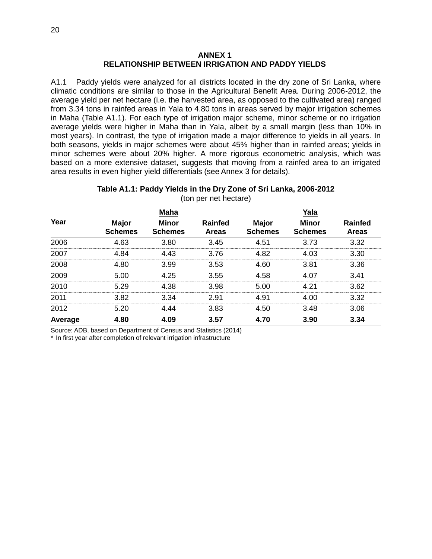### **ANNEX 1 RELATIONSHIP BETWEEN IRRIGATION AND PADDY YIELDS**

A1.1 Paddy yields were analyzed for all districts located in the dry zone of Sri Lanka, where climatic conditions are similar to those in the Agricultural Benefit Area. During 2006-2012, the average yield per net hectare (i.e. the harvested area, as opposed to the cultivated area) ranged from 3.34 tons in rainfed areas in Yala to 4.80 tons in areas served by major irrigation schemes in Maha (Table A1.1). For each type of irrigation major scheme, minor scheme or no irrigation average yields were higher in Maha than in Yala, albeit by a small margin (less than 10% in most years). In contrast, the type of irrigation made a major difference to yields in all years. In both seasons, yields in major schemes were about 45% higher than in rainfed areas; yields in minor schemes were about 20% higher. A more rigorous econometric analysis, which was based on a more extensive dataset, suggests that moving from a rainfed area to an irrigated area results in even higher yield differentials (see Annex 3 for details).

### **Table A1.1: Paddy Yields in the Dry Zone of Sri Lanka, 2006-2012** (ton per net hectare)

|         |                                | <b>Maha</b>                    |                                | Yala                           |                                |                                |  |  |
|---------|--------------------------------|--------------------------------|--------------------------------|--------------------------------|--------------------------------|--------------------------------|--|--|
| Year    | <b>Major</b><br><b>Schemes</b> | <b>Minor</b><br><b>Schemes</b> | <b>Rainfed</b><br><b>Areas</b> | <b>Major</b><br><b>Schemes</b> | <b>Minor</b><br><b>Schemes</b> | <b>Rainfed</b><br><b>Areas</b> |  |  |
| 2006    | 4.63                           | 3.80                           | 3.45                           | 4.51                           | 3.73                           | 3.32                           |  |  |
| 2007    | 4.84                           | 4.43                           | 3.76                           | 4.82                           | 4.03                           | 3.30                           |  |  |
| 2008    | 4.80                           | 3.99                           | 3.53                           | 4.60                           | 3.81                           | 3.36                           |  |  |
| 2009    | 5.00                           | 4.25                           | 3.55                           | 4.58                           | 4.07                           | 3.41                           |  |  |
| 2010    | 5.29                           | 4.38                           | 3.98                           | 5.00                           | 4.21                           | 3.62                           |  |  |
| 2011    | 3.82                           | 3.34                           | 2.91                           | 4.91                           | 4.00                           | 3.32                           |  |  |
| 2012    | 5.20                           | 4.44                           | 3.83                           | 4.50                           | 3.48                           | 3.06                           |  |  |
| Average | 4.80                           | 4.09                           | 3.57                           | 4.70                           | 3.90                           | 3.34                           |  |  |

Source: ADB, based on Department of Census and Statistics (2014)

\* In first year after completion of relevant irrigation infrastructure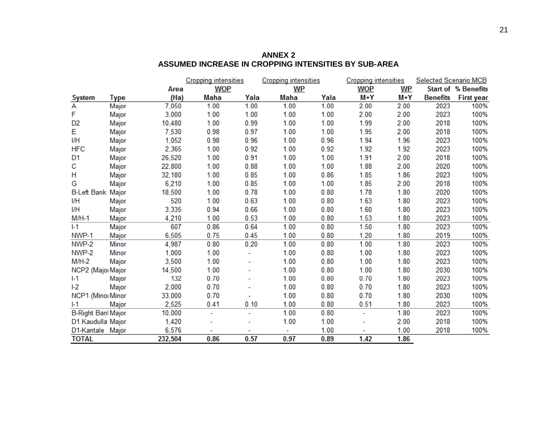|                           |       |         | <b>Cropping intensities</b> |      | <b>Cropping intensities</b> |           |            | <b>Cropping intensities</b> | Selected Scenario:MCB |                            |
|---------------------------|-------|---------|-----------------------------|------|-----------------------------|-----------|------------|-----------------------------|-----------------------|----------------------------|
|                           |       | Area    | <b>WOP</b>                  |      |                             | <b>WP</b> | <b>WOP</b> | <b>WP</b>                   |                       | <b>Start of % Benefits</b> |
| <b>System</b>             | Type  | (Ha)    | Maha                        | Yala | Maha                        | Yala      | M+Y        | $M+Y$                       | <b>Benefits</b>       | <b>First year</b>          |
| Α                         | Major | 7,050   | 1.00                        | 1.00 | 1.00                        | 1.00      | 2.00       | 2.00                        | 2023                  | 100%                       |
| F                         | Major | 3,000   | 1.00                        | 1.00 | 1.00                        | 1.00      | 2.00       | 2.00                        | 2023                  | 100%                       |
| D <sub>2</sub>            | Major | 10,480  | 1.00                        | 0.99 | 1.00                        | 1.00      | 1.99       | 2.00                        | 2018                  | 100%                       |
| Е                         | Major | 7,530   | 0.98                        | 0.97 | 1.00                        | 1.00      | 1.95       | 2.00                        | 2018                  | 100%                       |
| I/H                       | Major | 1,052   | 0.98                        | 0.96 | 1.00                        | 0.96      | 1.94       | 1.96                        | 2023                  | 100%                       |
| <b>HFC</b>                | Major | 2,365   | 1.00                        | 0.92 | 1.00                        | 0.92      | 1.92       | 1.92                        | 2023                  | 100%                       |
| D <sub>1</sub>            | Major | 26,520  | 1.00                        | 0.91 | 1.00                        | 1.00      | 1.91       | 2.00                        | 2018                  | 100%                       |
| с                         | Major | 22,800  | 1.00                        | 0.88 | 1.00                        | 1.00      | 1.88       | 2.00                        | 2020                  | 100%                       |
| н                         | Major | 32,180  | 1.00                        | 0.85 | 1.00                        | 0.86      | 1.85       | 1.86                        | 2023                  | 100%                       |
| G                         | Major | 6,210   | 1.00                        | 0.85 | 1.00                        | 1.00      | 1.85       | 2.00                        | 2018                  | 100%                       |
| <b>B-Left Bank Major</b>  |       | 18,500  | 1.00                        | 0.78 | 1.00                        | 0.80      | 1.78       | 1.80                        | 2020                  | 100%                       |
| I/H                       | Major | 520     | 1.00                        | 0.63 | 1.00                        | 0.80      | 1.63       | 1.80                        | 2023                  | 100%                       |
| I/H                       | Major | 3,335   | 0.94                        | 0.66 | 1.00                        | 0.80      | 1.60       | 1.80                        | 2023                  | 100%                       |
| $M/H-1$                   | Major | 4,210   | 1.00                        | 0.53 | 1.00                        | 0.80      | 1.53       | 1.80                        | 2023                  | 100%                       |
| $1-1$                     | Major | 607     | 0.86                        | 0.64 | 1.00                        | 0.80      | 1.50       | 1.80                        | 2023                  | 100%                       |
| NWP-1                     | Major | 6,505   | 0.75                        | 0.45 | 1.00                        | 0.80      | 1.20       | 1.80                        | 2019                  | 100%                       |
| NWP-2                     | Minor | 4,987   | 0.80                        | 0.20 | 1.00                        | 0.80      | 1.00       | 1.80                        | 2023                  | 100%                       |
| NWP-2                     | Minor | 1,000   | 1.00                        |      | 1.00                        | 0.80      | 1.00       | 1.80                        | 2023                  | 100%                       |
| $M/H-2$                   | Major | 3,500   | 1.00                        |      | 1.00                        | 0.80      | 1.00       | 1.80                        | 2023                  | 100%                       |
| NCP2 (Major Major         |       | 14,500  | 1.00                        |      | 1.00                        | 0.80      | 1.00       | 1.80                        | 2030                  | 100%                       |
| $1-1$                     | Major | 132     | 0.70                        |      | 1.00                        | 0.80      | 0.70       | 1.80                        | 2023                  | 100%                       |
| $1-2$                     | Major | 2,000   | 0.70                        |      | 1.00                        | 0.80      | 0.70       | 1.80                        | 2023                  | 100%                       |
| NCP1 (Minor Minor         |       | 33,000  | 0.70                        |      | 1.00                        | 0.80      | 0.70       | 1.80                        | 2030                  | 100%                       |
| $I-1$                     | Major | 2.525   | 0.41                        | 0.10 | 1.00                        | 0.80      | 0.51       | 1.80                        | 2023                  | 100%                       |
| <b>B-Right Banl Major</b> |       | 10,000  |                             |      | 1.00                        | 0.80      |            | 1.80                        | 2023                  | 100%                       |
| D1 Kaudulla Major         |       | 1,420   |                             |      | 1.00                        | 1.00      |            | 2.00                        | 2018                  | 100%                       |
| D1-Kantale Major          |       | 6,576   |                             |      |                             | 1.00      |            | 1.00                        | 2018                  | 100%                       |
| <b>TOTAL</b>              |       | 232,504 | 0.86                        | 0.57 | 0.97                        | 0.89      | 1.42       | 1.86                        |                       |                            |

**ANNEX 2 ASSUMED INCREASE IN CROPPING INTENSITIES BY SUB-AREA**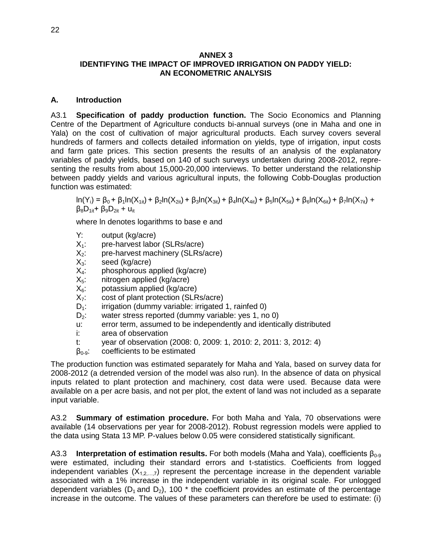### **ANNEX 3 IDENTIFYING THE IMPACT OF IMPROVED IRRIGATION ON PADDY YIELD: AN ECONOMETRIC ANALYSIS**

### **A. Introduction**

A3.1 **Specification of paddy production function.** The Socio Economics and Planning Centre of the Department of Agriculture conducts bi-annual surveys (one in Maha and one in Yala) on the cost of cultivation of major agricultural products. Each survey covers several hundreds of farmers and collects detailed information on yields, type of irrigation, input costs and farm gate prices. This section presents the results of an analysis of the explanatory variables of paddy yields, based on 140 of such surveys undertaken during 2008-2012, representing the results from about 15,000-20,000 interviews. To better understand the relationship between paddy yields and various agricultural inputs, the following Cobb-Douglas production function was estimated:

 $ln(Y_i) = \beta_0 + \beta_1 ln(X_{1it}) + \beta_2 ln(X_{2it}) + \beta_3 ln(X_{3it}) + \beta_4 ln(X_{4it}) + \beta_5 ln(X_{5it}) + \beta_6 ln(X_{6it}) + \beta_7 ln(X_{7it}) +$  $β_8D_{1it}$ +  $β_9D_{2it}$  + u<sub>it</sub>

where ln denotes logarithms to base e and

- Y: output (kg/acre)
- $X_1$ : pre-harvest labor (SLRs/acre)
- $X<sub>2</sub>:$  pre-harvest machinery (SLRs/acre)
- $X_3$ : seed (kg/acre)
- $X_4$ : phosphorous applied (kg/acre)<br> $X_5$ : nitrogen applied (kg/acre)
- 
- $X_5$ : nitrogen applied (kg/acre)<br> $X_6$ : potassium applied (kg/acre
- $X_6$ : potassium applied (kg/acre)<br> $X_7$ : cost of plant protection (SLR
- $X_7$ : cost of plant protection (SLRs/acre)<br> $D_1$ : irrigation (dummy variable: irrigated
- $D_1$ : irrigation (dummy variable: irrigated 1, rainfed 0)<br> $D_2$ : water stress reported (dummy variable: yes 1, no water stress reported (dummy variable: yes 1, no 0)
- u: error term, assumed to be independently and identically distributed
- i: area of observation
- t: year of observation (2008: 0, 2009: 1, 2010: 2, 2011: 3, 2012: 4)
- $\beta_{0.9}$ : coefficients to be estimated

The production function was estimated separately for Maha and Yala, based on survey data for 2008-2012 (a detrended version of the model was also run). In the absence of data on physical inputs related to plant protection and machinery, cost data were used. Because data were available on a per acre basis, and not per plot, the extent of land was not included as a separate input variable.

A3.2 **Summary of estimation procedure.** For both Maha and Yala, 70 observations were available (14 observations per year for 2008-2012). Robust regression models were applied to the data using Stata 13 MP. P-values below 0.05 were considered statistically significant.

A3.3 **Interpretation of estimation results.** For both models (Maha and Yala), coefficients β<sub>0-9</sub> were estimated, including their standard errors and t-statistics. Coefficients from logged independent variables  $(X_{1,2,...,7})$  represent the percentage increase in the dependent variable associated with a 1% increase in the independent variable in its original scale. For unlogged dependent variables ( $D_1$  and  $D_2$ ), 100<sup>\*</sup> the coefficient provides an estimate of the percentage increase in the outcome. The values of these parameters can therefore be used to estimate: (i)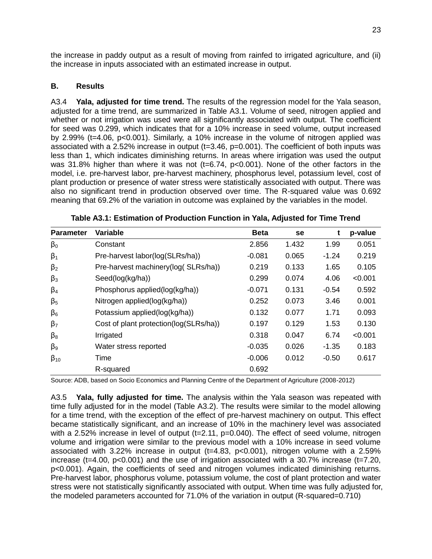the increase in paddy output as a result of moving from rainfed to irrigated agriculture, and (ii) the increase in inputs associated with an estimated increase in output.

## **B. Results**

A3.4 **Yala, adjusted for time trend.** The results of the regression model for the Yala season, adjusted for a time trend, are summarized in Table A3.1. Volume of seed, nitrogen applied and whether or not irrigation was used were all significantly associated with output. The coefficient for seed was 0.299, which indicates that for a 10% increase in seed volume, output increased by 2.99% (t=4.06, p<0.001). Similarly, a 10% increase in the volume of nitrogen applied was associated with a 2.52% increase in output (t=3.46, p=0.001). The coefficient of both inputs was less than 1, which indicates diminishing returns. In areas where irrigation was used the output was 31.8% higher than where it was not ( $t=6.74$ ,  $p<0.001$ ). None of the other factors in the model, i.e. pre-harvest labor, pre-harvest machinery, phosphorus level, potassium level, cost of plant production or presence of water stress were statistically associated with output. There was also no significant trend in production observed over time. The R-squared value was 0.692 meaning that 69.2% of the variation in outcome was explained by the variables in the model.

| <b>Parameter</b> | <b>Variable</b>                        | <b>Beta</b> | se    | t       | p-value |
|------------------|----------------------------------------|-------------|-------|---------|---------|
| $\beta_0$        | Constant                               | 2.856       | 1.432 | 1.99    | 0.051   |
| $\beta_1$        | Pre-harvest labor(log(SLRs/ha))        | $-0.081$    | 0.065 | $-1.24$ | 0.219   |
| $\beta_2$        | Pre-harvest machinery(log( SLRs/ha))   | 0.219       | 0.133 | 1.65    | 0.105   |
| $\beta_3$        | Seed(log(kg/ha))                       | 0.299       | 0.074 | 4.06    | < 0.001 |
| $\beta_4$        | Phosphorus applied(log(kg/ha))         | $-0.071$    | 0.131 | $-0.54$ | 0.592   |
| $\beta_{5}$      | Nitrogen applied(log(kg/ha))           | 0.252       | 0.073 | 3.46    | 0.001   |
| $\beta_6$        | Potassium applied(log(kg/ha))          | 0.132       | 0.077 | 1.71    | 0.093   |
| $\beta_7$        | Cost of plant protection(log(SLRs/ha)) | 0.197       | 0.129 | 1.53    | 0.130   |
| $\beta_8$        | Irrigated                              | 0.318       | 0.047 | 6.74    | < 0.001 |
| $\beta_{9}$      | Water stress reported                  | $-0.035$    | 0.026 | $-1.35$ | 0.183   |
| $\beta_{10}$     | Time                                   | $-0.006$    | 0.012 | $-0.50$ | 0.617   |
|                  | R-squared                              | 0.692       |       |         |         |

**Table A3.1: Estimation of Production Function in Yala, Adjusted for Time Trend**

Source: ADB, based on Socio Economics and Planning Centre of the Department of Agriculture (2008-2012)

A3.5 **Yala, fully adjusted for time.** The analysis within the Yala season was repeated with time fully adjusted for in the model (Table A3.2). The results were similar to the model allowing for a time trend, with the exception of the effect of pre-harvest machinery on output. This effect became statistically significant, and an increase of 10% in the machinery level was associated with a 2.52% increase in level of output (t=2.11, p=0.040). The effect of seed volume, nitrogen volume and irrigation were similar to the previous model with a 10% increase in seed volume associated with 3.22% increase in output  $(t=4.83, p<0.001)$ , nitrogen volume with a 2.59% increase ( $t=4.00$ ,  $p<0.001$ ) and the use of irrigation associated with a 30.7% increase ( $t=7.20$ , p<0.001). Again, the coefficients of seed and nitrogen volumes indicated diminishing returns. Pre-harvest labor, phosphorus volume, potassium volume, the cost of plant protection and water stress were not statistically significantly associated with output. When time was fully adjusted for, the modeled parameters accounted for 71.0% of the variation in output (R-squared=0.710)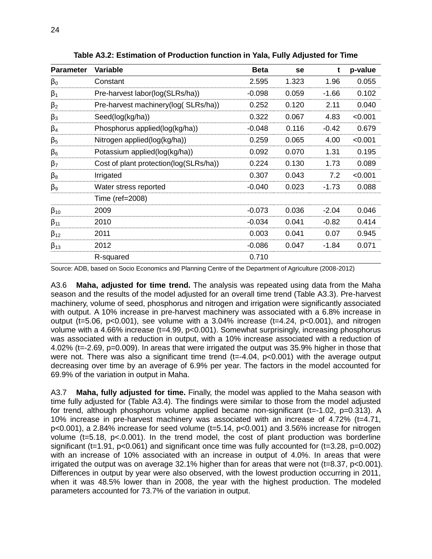| <b>Parameter</b> | Variable                               | <b>Beta</b> | se    | t       | p-value |
|------------------|----------------------------------------|-------------|-------|---------|---------|
| $\beta_0$        | Constant                               | 2.595       | 1.323 | 1.96    | 0.055   |
| $\beta_1$        | Pre-harvest labor(log(SLRs/ha))        | $-0.098$    | 0.059 | $-1.66$ | 0.102   |
| $\beta_2$        | Pre-harvest machinery(log(SLRs/ha))    | 0.252       | 0.120 | 2.11    | 0.040   |
| $\beta_3$        | Seed(log(kg/ha))                       | 0.322       | 0.067 | 4.83    | < 0.001 |
| $\beta_4$        | Phosphorus applied(log(kg/ha))         | $-0.048$    | 0.116 | $-0.42$ | 0.679   |
| $\beta_5$        | Nitrogen applied(log(kg/ha))           | 0.259       | 0.065 | 4.00    | < 0.001 |
| $\beta_6$        | Potassium applied(log(kg/ha))          | 0.092       | 0.070 | 1.31    | 0.195   |
| $\beta_7$        | Cost of plant protection(log(SLRs/ha)) | 0.224       | 0.130 | 1.73    | 0.089   |
| $\beta_8$        | Irrigated                              | 0.307       | 0.043 | 7.2     | < 0.001 |
| $\beta_9$        | Water stress reported                  | $-0.040$    | 0.023 | $-1.73$ | 0.088   |
|                  | Time (ref=2008)                        |             |       |         |         |
| $\beta_{10}$     | 2009                                   | $-0.073$    | 0.036 | $-2.04$ | 0.046   |
| $\beta_{11}$     | 2010                                   | $-0.034$    | 0.041 | $-0.82$ | 0.414   |
| $\beta_{12}$     | 2011                                   | 0.003       | 0.041 | 0.07    | 0.945   |
| $\beta_{13}$     | 2012                                   | $-0.086$    | 0.047 | $-1.84$ | 0.071   |
|                  | R-squared                              | 0.710       |       |         |         |

**Table A3.2: Estimation of Production function in Yala, Fully Adjusted for Time**

Source: ADB, based on Socio Economics and Planning Centre of the Department of Agriculture (2008-2012)

A3.6 **Maha, adjusted for time trend.** The analysis was repeated using data from the Maha season and the results of the model adjusted for an overall time trend (Table A3.3). Pre-harvest machinery, volume of seed, phosphorus and nitrogen and irrigation were significantly associated with output. A 10% increase in pre-harvest machinery was associated with a 6.8% increase in output (t=5.06,  $p < 0.001$ ), see volume with a 3.04% increase (t=4.24,  $p < 0.001$ ), and nitrogen volume with a 4.66% increase (t=4.99, p<0.001). Somewhat surprisingly, increasing phosphorus was associated with a reduction in output, with a 10% increase associated with a reduction of 4.02% (t=-2.69, p=0.009). In areas that were irrigated the output was 35.9% higher in those that were not. There was also a significant time trend (t=-4.04, p<0.001) with the average output decreasing over time by an average of 6.9% per year. The factors in the model accounted for 69.9% of the variation in output in Maha.

A3.7 **Maha, fully adjusted for time.** Finally, the model was applied to the Maha season with time fully adjusted for (Table A3.4). The findings were similar to those from the model adjusted for trend, although phosphorus volume applied became non-significant ( $t = -1.02$ ,  $p = 0.313$ ). A 10% increase in pre-harvest machinery was associated with an increase of 4.72% (t=4.71, p<0.001), a 2.84% increase for seed volume (t=5.14, p<0.001) and 3.56% increase for nitrogen volume ( $t=5.18$ ,  $p<.0.001$ ). In the trend model, the cost of plant production was borderline significant (t=1.91,  $p<0.061$ ) and significant once time was fully accounted for (t=3.28,  $p=0.002$ ) with an increase of 10% associated with an increase in output of 4.0%. In areas that were irrigated the output was on average  $32.1\%$  higher than for areas that were not (t=8.37, p<0.001). Differences in output by year were also observed, with the lowest production occurring in 2011, when it was 48.5% lower than in 2008, the year with the highest production. The modeled parameters accounted for 73.7% of the variation in output.